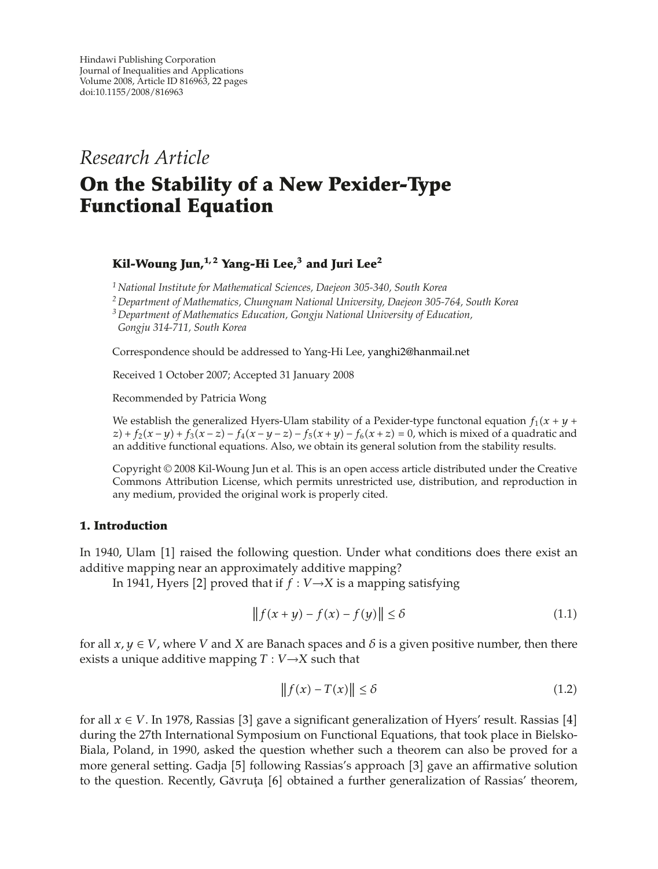*Research Article*

# **On the Stability of a New Pexider-Type Functional Equation**

## **Kil-Woung Jun,1, 2 Yang-Hi Lee,<sup>3</sup> and Juri Lee2**

*<sup>1</sup> National Institute for Mathematical Sciences, Daejeon 305-340, South Korea*

*<sup>2</sup> Department of Mathematics, Chungnam National University, Daejeon 305-764, South Korea*

*<sup>3</sup> Department of Mathematics Education, Gongju National University of Education, Gongju 314-711, South Korea*

Correspondence should be addressed to Yang-Hi Lee, yanghi2@hanmail.net

Received 1 October 2007; Accepted 31 January 2008

Recommended by Patricia Wong

We establish the generalized Hyers-Ulam stability of a Pexider-type functonal equation  $f_1(x + y + z) + f_2(x - y) + f_3(x - z) - f_4(x - y) - f_5(x + y) - f_6(x + z) = 0$  which is mixed of a quadratic and  $z$  +  $f_2(x - y) + f_3(x - z) - f_4(x - y - z) - f_5(x + y) - f_6(x + z) = 0$ , which is mixed of a quadratic and an additive functional equations. Also, we obtain its general solution from the stability results an additive functional equations. Also, we obtain its general solution from the stability results.

Copyright © 2008 Kil-Woung Jun et al. This is an open access article distributed under the Creative Commons Attribution License, which permits unrestricted use, distribution, and reproduction in any medium, provided the original work is properly cited.

#### **1. Introduction**

In 1940, Ulam [1] raised the following question. Under what conditions does there exist an additive mapping near an approximately additive mapping?

In 1941, Hyers [2] proved that if  $f : V \rightarrow X$  is a mapping satisfying

$$
|| f(x + y) - f(x) - f(y)|| \le \delta
$$
 (1.1)

for all  $x, y \in V$ , where *V* and *X* are Banach spaces and *δ* is a given positive number, then there exists a unique additive mapping  $T: V \rightarrow X$  such that

$$
||f(x) - T(x)|| \le \delta \tag{1.2}
$$

for all  $x \in V$ . In 1978, Rassias [3] gave a significant generalization of Hyers' result. Rassias [4] during the 27th International Symposium on Functional Equations, that took place in Bielsko-Biala, Poland, in 1990, asked the question whether such a theorem can also be proved for a more general setting. Gadja [5] following Rassias's approach [3] gave an affirmative solution to the question. Recently, Găvruța [6] obtained a further generalization of Rassias' theorem,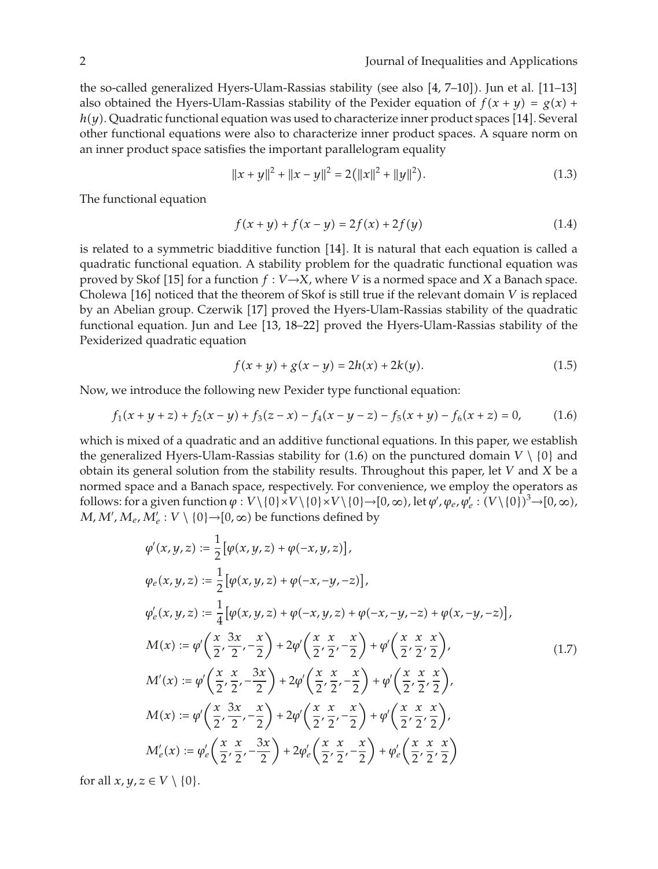the so-called generalized Hyers-Ulam-Rassias stability (see also [4, 7–10]). Jun et al. [11–13] also obtained the Hyers-Ulam-Rassias stability of the Pexider equation of  $f(x + y) = g(x) + h(y)$ . Quadratic functional equation was used to characterize inner product spaces [14]. Soveral *h*(*y*). Quadratic functional equation was used to characterize inner product spaces [14]. Several<br>other functional equations were also to characterize inner product spaces. A square norm on other functional equations were also to characterize inner product spaces. A square norm on an inner product space satisfies the important parallelogram equality

$$
||x + y||2 + ||x - y||2 = 2(||x||2 + ||y||2).
$$
 (1.3)

The functional equation

$$
f(x + y) + f(x - y) = 2f(x) + 2f(y)
$$
\n(1.4)

is related to a symmetric biadditive function  $[14]$ . It is natural that each equation is called a quadratic functional equation. A stability problem for the quadratic functional equation was proved by Skof [15] for a function  $f: V \rightarrow X$ , where *V* is a normed space and *X* a Banach space. Cholewa [16] noticed that the theorem of Skof is still true if the relevant domain *V* is replaced by an Abelian group. Czerwik [17] proved the Hyers-Ulam-Rassias stability of the quadratic functional equation. Jun and Lee [13, 18-22] proved the Hyers-Ulam-Rassias stability of the Pexiderized quadratic equation

$$
f(x + y) + g(x - y) = 2h(x) + 2k(y). \tag{1.5}
$$

Now, we introduce the following new Pexider type functional equation:

$$
f_1(x + y + z) + f_2(x - y) + f_3(z - x) - f_4(x - y - z) - f_5(x + y) - f_6(x + z) = 0,
$$
 (1.6)

which is mixed of a quadratic and an additive functional equations. In this paper, we establish the generalized Hyers-Ulam-Rassias stability for  $(1.6)$  on the punctured domain  $V \setminus \{0\}$  and<br>obtain its general solution from the stability results. Throughout this paper, let *V* and *X* he a obtain its general solution from the stability results. Throughout this paper, let *V* and *X* be a normed space and a Banach space, respectively. For convenience, we employ the operators as follows: for a given function  $\varphi : V \setminus \{0\} \times V \setminus \{0\} \times V \setminus \{0\} \to [0, \infty)$ , let  $\varphi', \varphi_e, \varphi'_e : (V \setminus \{0\})^3 \to [0, \infty)$ ,<br>*M, M', M, M'* · *V* \, (0), \, (0, es) be functions defined by *M, M', M<sub>e</sub>, M'<sub>e</sub>* : *V* \ {0} $\rightarrow$  [0*,*  $\infty$ ) be functions defined by

$$
\varphi'(x, y, z) := \frac{1}{2} [\varphi(x, y, z) + \varphi(-x, y, z)],
$$
  
\n
$$
\varphi_e(x, y, z) := \frac{1}{2} [\varphi(x, y, z) + \varphi(-x, -y, -z)],
$$
  
\n
$$
\varphi'_e(x, y, z) := \frac{1}{4} [\varphi(x, y, z) + \varphi(-x, y, z) + \varphi(-x, -y, -z) + \varphi(x, -y, -z)],
$$
  
\n
$$
M(x) := \varphi' \left( \frac{x}{2}, \frac{3x}{2}, -\frac{x}{2} \right) + 2\varphi' \left( \frac{x}{2}, \frac{x}{2}, -\frac{x}{2} \right) + \varphi' \left( \frac{x}{2}, \frac{x}{2}, \frac{x}{2} \right),
$$
  
\n
$$
M'(x) := \varphi' \left( \frac{x}{2}, \frac{x}{2}, -\frac{3x}{2} \right) + 2\varphi' \left( \frac{x}{2}, \frac{x}{2}, -\frac{x}{2} \right) + \varphi' \left( \frac{x}{2}, \frac{x}{2}, \frac{x}{2} \right),
$$
  
\n
$$
M(x) := \varphi' \left( \frac{x}{2}, \frac{3x}{2}, -\frac{x}{2} \right) + 2\varphi' \left( \frac{x}{2}, \frac{x}{2}, -\frac{x}{2} \right) + \varphi' \left( \frac{x}{2}, \frac{x}{2}, \frac{x}{2} \right),
$$
  
\n
$$
M'_e(x) := \varphi'_e \left( \frac{x}{2}, \frac{x}{2}, -\frac{3x}{2} \right) + 2\varphi'_e \left( \frac{x}{2}, \frac{x}{2}, -\frac{x}{2} \right) + \varphi'_e \left( \frac{x}{2}, \frac{x}{2}, \frac{x}{2} \right)
$$

for all  $x, y, z \in V \setminus \{0\}.$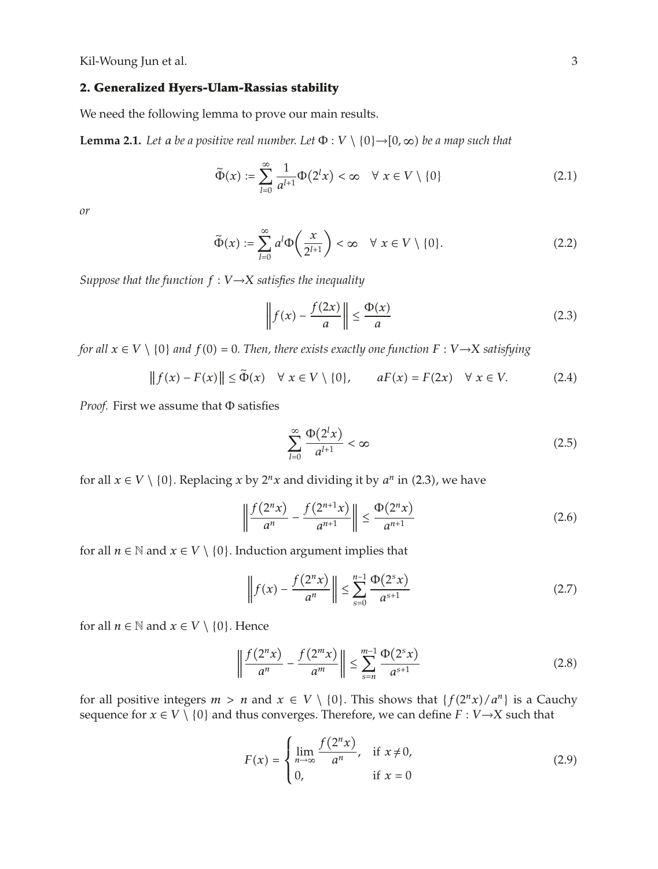### **2. Generalized Hyers-Ulam-Rassias stability**

We need the following lemma to prove our main results.

**Lemma 2.1.** *Let a be a positive real number. Let*  $\Phi: V \setminus \{0\} \rightarrow [0, \infty)$  *be a map such that* 

$$
\widetilde{\Phi}(x) := \sum_{l=0}^{\infty} \frac{1}{a^{l+1}} \Phi(2^l x) < \infty \quad \forall \ x \in V \setminus \{0\} \tag{2.1}
$$

*or*

$$
\widetilde{\Phi}(x) := \sum_{l=0}^{\infty} a^l \Phi\left(\frac{x}{2^{l+1}}\right) < \infty \quad \forall \ x \in V \setminus \{0\}. \tag{2.2}
$$

*Suppose that the function*  $f : V \rightarrow X$  *satisfies the inequality* 

$$
\left\| f(x) - \frac{f(2x)}{a} \right\| \le \frac{\Phi(x)}{a} \tag{2.3}
$$

*for all*  $x \in V \setminus \{0\}$  *and*  $f(0) = 0$ . Then, there exists exactly one function  $F: V \rightarrow X$  satisfying

$$
||f(x) - F(x)|| \le \tilde{\Phi}(x) \quad \forall \ x \in V \setminus \{0\}, \qquad aF(x) = F(2x) \quad \forall \ x \in V. \tag{2.4}
$$

*Proof.* First we assume that Φ satisfies

$$
\sum_{l=0}^{\infty} \frac{\Phi(2^l x)}{a^{l+1}} < \infty \tag{2.5}
$$

for all  $x \in V \setminus \{0\}$ . Replacing  $x$  by  $2^n x$  and dividing it by  $a^n$  in (2.3), we have

$$
\left\| \frac{f(2^n x)}{a^n} - \frac{f(2^{n+1} x)}{a^{n+1}} \right\| \le \frac{\Phi(2^n x)}{a^{n+1}} \tag{2.6}
$$

for all  $n \in \mathbb{N}$  and  $x \in V \setminus \{0\}$ . Induction argument implies that

$$
\left\| f(x) - \frac{f(2^n x)}{a^n} \right\| \le \sum_{s=0}^{n-1} \frac{\Phi(2^s x)}{a^{s+1}} \tag{2.7}
$$

for all  $n \in \mathbb{N}$  and  $x \in V \setminus \{0\}$ . Hence

$$
\left\| \frac{f(2^n x)}{a^n} - \frac{f(2^m x)}{a^m} \right\| \le \sum_{s=n}^{m-1} \frac{\Phi(2^s x)}{a^{s+1}} \tag{2.8}
$$

for all positive integers  $m > n$  and  $x \in V \setminus \{0\}$ . This shows that  $\{f(2^n x)/a^n\}$  is a Cauchy<br>sequence for  $x \in V \setminus \{0\}$  and thus converges. Therefore, we can define  $F: V \to Y$  such that sequence for  $x \in V \setminus \{0\}$  and thus converges. Therefore, we can define  $F : V \rightarrow X$  such that

$$
F(x) = \begin{cases} \lim_{n \to \infty} \frac{f(2^n x)}{a^n}, & \text{if } x \neq 0, \\ 0, & \text{if } x = 0 \end{cases}
$$
 (2.9)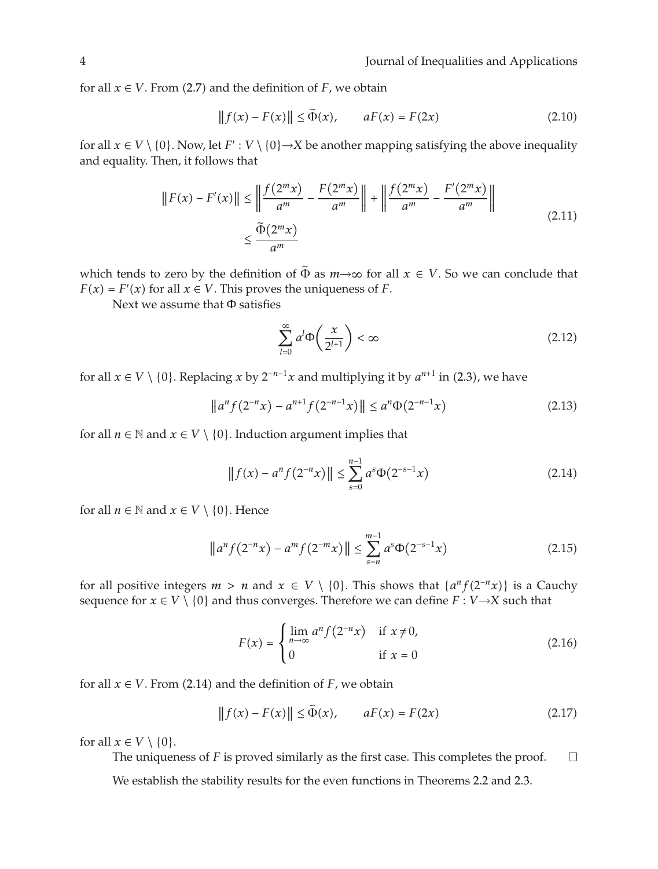for all  $x \in V$ . From (2.7) and the definition of  $F$ , we obtain

$$
||f(x) - F(x)|| \le \Phi(x), \qquad aF(x) = F(2x)
$$
 (2.10)

for all  $x \in V \setminus \{0\}$ . Now, let  $F' : V \setminus \{0\} \rightarrow X$  be another mapping satisfying the above inequality and equality. Then, it follows that

$$
||F(x) - F'(x)|| \le \left\| \frac{f(2^m x)}{a^m} - \frac{F(2^m x)}{a^m} \right\| + \left\| \frac{f(2^m x)}{a^m} - \frac{F'(2^m x)}{a^m} \right\|
$$
  

$$
\le \frac{\tilde{\Phi}(2^m x)}{a^m}
$$
 (2.11)

which tends to zero by the definition of  $\tilde{\Phi}$  as  $m \rightarrow \infty$  for all  $x \in V$ . So we can conclude that  $F(x) = F'(x)$  for all  $x \in V$ . This proves the uniqueness of *F*.

Next we assume that Φ satisfies

$$
\sum_{l=0}^{\infty} a^l \Phi\left(\frac{x}{2^{l+1}}\right) < \infty \tag{2.12}
$$

for all  $x \in V \setminus \{0\}$ . Replacing  $x$  by  $2^{-n-1}x$  and multiplying it by  $a^{n+1}$  in (2.3), we have

$$
||a^n f(2^{-n} x) - a^{n+1} f(2^{-n-1} x) || \le a^n \Phi(2^{-n-1} x)
$$
\n(2.13)

for all  $n \in \mathbb{N}$  and  $x \in V \setminus \{0\}$ . Induction argument implies that

$$
||f(x) - a^n f(2^{-n} x)|| \le \sum_{s=0}^{n-1} a^s \Phi(2^{-s-1} x)
$$
 (2.14)

for all  $n \in \mathbb{N}$  and  $x \in V \setminus \{0\}$ . Hence

$$
\|a^{n} f(2^{-n} x) - a^{m} f(2^{-m} x)\| \le \sum_{s=n}^{m-1} a^{s} \Phi(2^{-s-1} x)
$$
 (2.15)

for all positive integers  $m > n$  and  $x \in V \setminus \{0\}$ . This shows that  $\{a^n f(2^{-n}x)\}$  is a Cauchy<br>sequence for  $x \in V \setminus \{0\}$  and thus converges. Therefore we can define  $F: V \to Y$  such that sequence for  $x \in V \setminus \{0\}$  and thus converges. Therefore we can define  $F : V \rightarrow X$  such that

$$
F(x) = \begin{cases} \lim_{n \to \infty} a^n f(2^{-n}x) & \text{if } x \neq 0, \\ 0 & \text{if } x = 0 \end{cases}
$$
 (2.16)

for all  $x \in V$ . From (2.14) and the definition of  $F$ , we obtain

$$
||f(x) - F(x)|| \le \tilde{\Phi}(x), \qquad aF(x) = F(2x)
$$
\n(2.17)

for all  $x \in V \setminus \{0\}$ .

The uniqueness of *F* is proved similarly as the first case. This completes the proof.  $\Box$ 

We establish the stability results for the even functions in Theorems 2.2 and 2.3.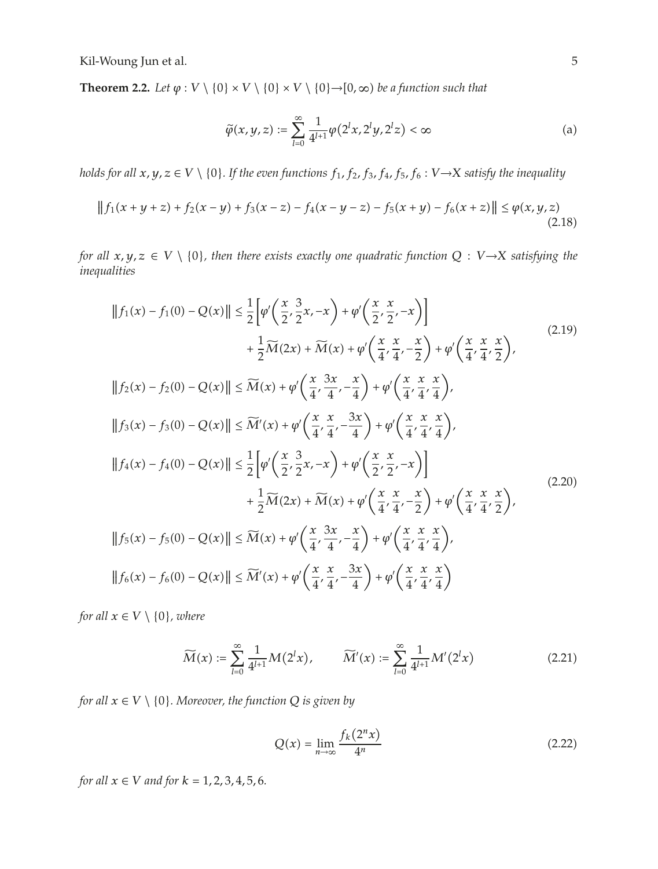**Theorem 2.2.** *Let*  $\varphi : V \setminus \{0\} \times V \setminus \{0\} \times V \setminus \{0\} \rightarrow [0, \infty)$  *be a function such that* 

$$
\tilde{\varphi}(x, y, z) := \sum_{l=0}^{\infty} \frac{1}{4^{l+1}} \varphi(2^l x, 2^l y, 2^l z) < \infty \tag{a}
$$

*holds for all*  $x, y, z \in V \setminus \{0\}$ . If the even functions  $f_1, f_2, f_3, f_4, f_5, f_6 : V \to X$  satisfy the inequality

$$
|| f_1(x + y + z) + f_2(x - y) + f_3(x - z) - f_4(x - y - z) - f_5(x + y) - f_6(x + z)|| \le \varphi(x, y, z)
$$
\n(2.18)

*for all*  $x, y, z \in V \setminus \{0\}$ *, then there exists exactly one quadratic function*  $Q : V \rightarrow X$  *satisfying the inequalities*

$$
||f_{1}(x) - f_{1}(0) - Q(x)|| \leq \frac{1}{2} \Big[ \varphi' \Big( \frac{x}{2}, \frac{3}{2}x, -x \Big) + \varphi' \Big( \frac{x}{2}, \frac{x}{2}, -x \Big) \Big] + \frac{1}{2} \widetilde{M}(2x) + \widetilde{M}(x) + \varphi' \Big( \frac{x}{4}, \frac{x}{4}, -\frac{x}{2} \Big) + \varphi' \Big( \frac{x}{4}, \frac{x}{4}, \frac{x}{2} \Big),
$$
  
\n
$$
||f_{2}(x) - f_{2}(0) - Q(x)|| \leq \widetilde{M}(x) + \varphi' \Big( \frac{x}{4}, \frac{3x}{4}, -\frac{x}{4} \Big) + \varphi' \Big( \frac{x}{4}, \frac{x}{4}, \frac{x}{4} \Big),
$$
  
\n
$$
||f_{3}(x) - f_{3}(0) - Q(x)|| \leq \widetilde{M}'(x) + \varphi' \Big( \frac{x}{4}, \frac{x}{4}, -\frac{3x}{4} \Big) + \varphi' \Big( \frac{x}{4}, \frac{x}{4}, \frac{x}{4} \Big),
$$
  
\n
$$
||f_{4}(x) - f_{4}(0) - Q(x)|| \leq \frac{1}{2} \Big[ \varphi' \Big( \frac{x}{2}, \frac{3}{2}x, -x \Big) + \varphi' \Big( \frac{x}{2}, \frac{x}{2}, -x \Big) \Big] + \frac{1}{2} \widetilde{M}(2x) + \widetilde{M}(x) + \varphi' \Big( \frac{x}{4}, \frac{x}{4}, -\frac{x}{2} \Big) + \varphi' \Big( \frac{x}{4}, \frac{x}{4}, \frac{x}{2} \Big),
$$
  
\n
$$
||f_{5}(x) - f_{5}(0) - Q(x)|| \leq \widetilde{M}(x) + \varphi' \Big( \frac{x}{4}, \frac{3x}{4}, -\frac{x}{4} \Big) + \varphi' \Big( \frac{x}{4}, \frac{x}{4}, \frac{x}{4} \Big),
$$
  
\n
$$
||f_{6}(x) - f_{6}(0) - Q(x)|| \leq \widetilde{M}'(x) + \varphi' \Big( \frac{x}{4}, \frac{x}{4}, -\frac{3x}{4} \Big) + \varphi' \Big( \frac{x}{
$$

*for all*  $x \in V \setminus \{0\}$ *, where* 

$$
\widetilde{M}(x) := \sum_{l=0}^{\infty} \frac{1}{4^{l+1}} M(2^l x), \qquad \widetilde{M}'(x) := \sum_{l=0}^{\infty} \frac{1}{4^{l+1}} M'(2^l x)
$$
\n(2.21)

*for all*  $x \in V \setminus \{0\}$ *. Moreover, the function*  $Q$  *is given by* 

$$
Q(x) = \lim_{n \to \infty} \frac{f_k(2^n x)}{4^n}
$$
\n(2.22)

*for all*  $x \in V$  *and for*  $k = 1, 2, 3, 4, 5, 6$ *.*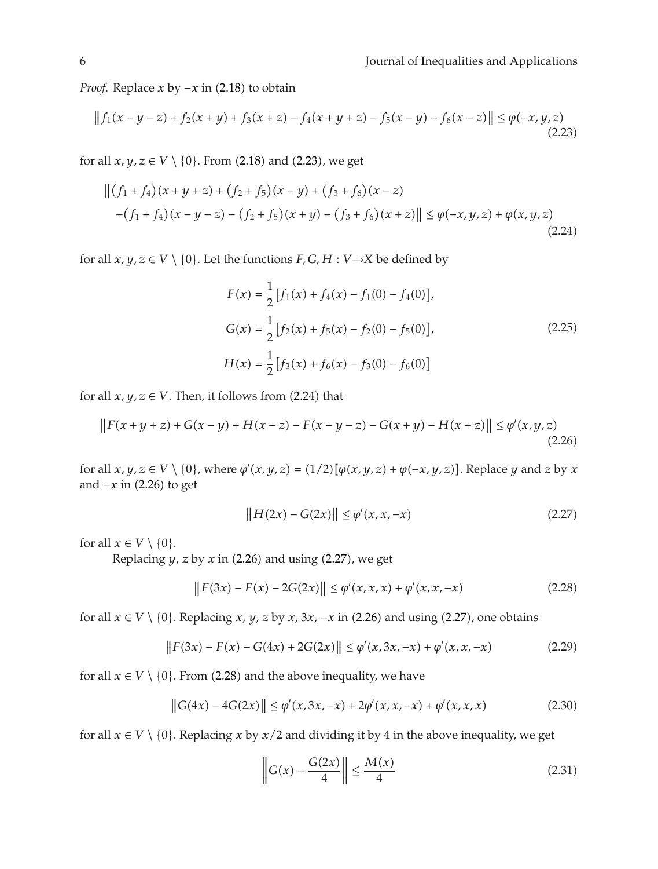*Proof.* Replace *x* by −*x* in (2.18) to obtain

$$
||f_1(x - y - z) + f_2(x + y) + f_3(x + z) - f_4(x + y + z) - f_5(x - y) - f_6(x - z)|| \le \varphi(-x, y, z)
$$
\n(2.23)

for all  $x, y, z \in V \setminus \{0\}$ . From (2.18) and (2.23), we get

$$
\left\| (f_1 + f_4)(x + y + z) + (f_2 + f_5)(x - y) + (f_3 + f_6)(x - z) \right\| \le \varphi(-x, y, z) + \varphi(x, y, z)
$$
  
-(f<sub>1</sub> + f<sub>4</sub>)(x - y - z) - (f<sub>2</sub> + f<sub>5</sub>)(x + y) - (f<sub>3</sub> + f<sub>6</sub>)(x + z) \right\| \le \varphi(-x, y, z) + \varphi(x, y, z) (2.24)

for all  $x, y, z \in V \setminus \{0\}$ . Let the functions  $F, G, H : V \rightarrow X$  be defined by

$$
F(x) = \frac{1}{2} [f_1(x) + f_4(x) - f_1(0) - f_4(0)],
$$
  
\n
$$
G(x) = \frac{1}{2} [f_2(x) + f_5(x) - f_2(0) - f_5(0)],
$$
  
\n
$$
H(x) = \frac{1}{2} [f_3(x) + f_6(x) - f_3(0) - f_6(0)]
$$
\n(2.25)

for all  $x, y, z \in V$ . Then, it follows from  $(2.24)$  that

$$
||F(x+y+z) + G(x-y) + H(x-z) - F(x-y-z) - G(x+y) - H(x+z)|| \leq \varphi'(x,y,z)
$$
\n(2.26)

for all  $x, y, z \in V \setminus \{0\}$ , where  $\varphi'(x, y, z) = (1/2)[\varphi(x, y, z) + \varphi(-x, y, z)]$ . Replace *y* and *z* by *x* and  $\neg x$  in (2.26) to got and  $-x$  in (2.26) to get

$$
||H(2x) - G(2x)|| \le \varphi'(x, x, -x)
$$
\n(2.27)

for all  $x \in V \setminus \{0\}$ .

Replacing  $y$ ,  $z$  by  $x$  in (2.26) and using (2.27), we get

$$
||F(3x) - F(x) - 2G(2x)|| \le \varphi'(x, x, x) + \varphi'(x, x, -x)
$$
\n(2.28)

for all  $x \in V \setminus \{0\}$ . Replacing *x*, *y*, *z* by *x*, 3*x*, −*x* in (2.26) and using (2.27), one obtains

$$
||F(3x) - F(x) - G(4x) + 2G(2x)|| \le \varphi'(x, 3x, -x) + \varphi'(x, x, -x)
$$
\n(2.29)

for all  $x \in V \setminus \{0\}$ . From (2.28) and the above inequality, we have

$$
||G(4x) - 4G(2x)|| \le \varphi'(x, 3x, -x) + 2\varphi'(x, x, -x) + \varphi'(x, x, x)
$$
 (2.30)

for all  $x \in V \setminus \{0\}$ . Replacing *x* by *x*/2 and dividing it by 4 in the above inequality, we get

$$
\left\| G(x) - \frac{G(2x)}{4} \right\| \le \frac{M(x)}{4}
$$
\n(2.31)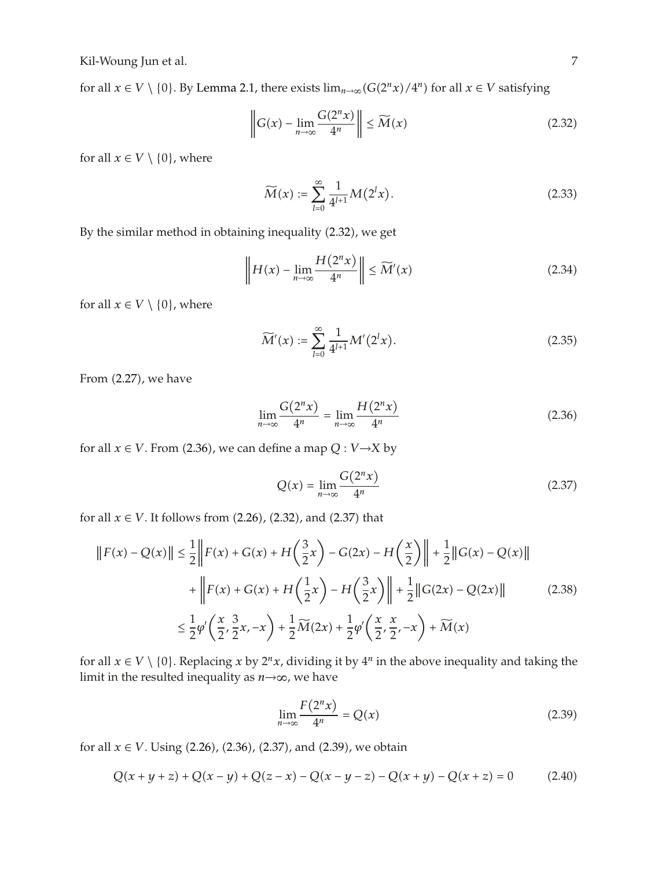for all  $x \in V \setminus \{0\}$ . By Lemma 2.1, there exists  $\lim_{n\to\infty} (G(2^n x)/4^n)$  for all  $x \in V$  satisfying

$$
\left\| G(x) - \lim_{n \to \infty} \frac{G(2^n x)}{4^n} \right\| \le \widetilde{M}(x)
$$
\n(2.32)

for all  $x \in V \setminus \{0\}$ , where

$$
\widetilde{M}(x) := \sum_{l=0}^{\infty} \frac{1}{4^{l+1}} M(2^l x). \tag{2.33}
$$

By the similar method in obtaining inequality (2.32), we get

$$
\left\| H(x) - \lim_{n \to \infty} \frac{H(2^n x)}{4^n} \right\| \le \widetilde{M}'(x) \tag{2.34}
$$

for all  $x \in V \setminus \{0\}$ , where

$$
\widetilde{M}'(x) := \sum_{l=0}^{\infty} \frac{1}{4^{l+1}} M'(2^l x). \tag{2.35}
$$

From (2.27), we have

$$
\lim_{n \to \infty} \frac{G(2^n x)}{4^n} = \lim_{n \to \infty} \frac{H(2^n x)}{4^n}
$$
\n(2.36)

for all  $x \in V$ . From (2.36), we can define a map  $Q: V \rightarrow X$  by

$$
Q(x) = \lim_{n \to \infty} \frac{G(2^n x)}{4^n}
$$
\n(2.37)

for all  $x \in V$ . It follows from  $(2.26)$ ,  $(2.32)$ , and  $(2.37)$  that

$$
||F(x) - Q(x)|| \le \frac{1}{2} ||F(x) + G(x) + H\left(\frac{3}{2}x\right) - G(2x) - H\left(\frac{x}{2}\right) || + \frac{1}{2} ||G(x) - Q(x)||
$$
  
+ 
$$
||F(x) + G(x) + H\left(\frac{1}{2}x\right) - H\left(\frac{3}{2}x\right) || + \frac{1}{2} ||G(2x) - Q(2x)||
$$
(2.38)  

$$
\le \frac{1}{2} \varphi' \left(\frac{x}{2}, \frac{3}{2}x, -x\right) + \frac{1}{2} \widetilde{M}(2x) + \frac{1}{2} \varphi' \left(\frac{x}{2}, \frac{x}{2}, -x\right) + \widetilde{M}(x)
$$

for all  $x \in V \setminus \{0\}$ . Replacing *x* by  $2^n x$ , dividing it by  $4^n$  in the above inequality and taking the limit in the resulted inequality as *n*→∞, we have

$$
\lim_{n \to \infty} \frac{F(2^n x)}{4^n} = Q(x) \tag{2.39}
$$

for all  $x \in V$ . Using  $(2.26)$ ,  $(2.36)$ ,  $(2.37)$ , and  $(2.39)$ , we obtain

$$
Q(x + y + z) + Q(x - y) + Q(z - x) - Q(x - y - z) - Q(x + y) - Q(x + z) = 0
$$
 (2.40)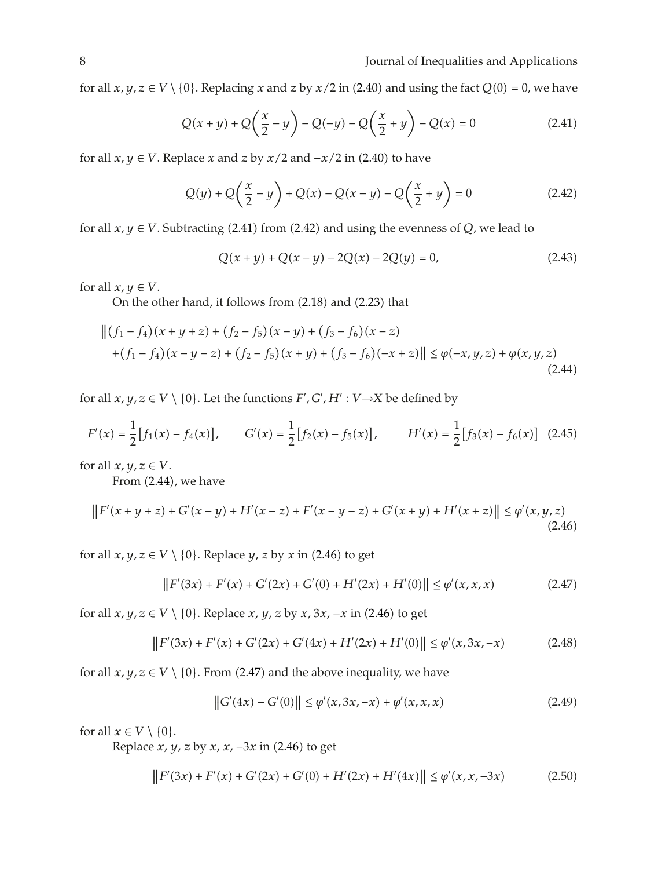for all  $x, y, z \in V \setminus \{0\}$ . Replacing  $x$  and  $z$  by  $x/2$  in  $(2.40)$  and using the fact  $Q(0) = 0$ , we have

$$
Q(x+y) + Q\left(\frac{x}{2} - y\right) - Q(-y) - Q\left(\frac{x}{2} + y\right) - Q(x) = 0
$$
\n(2.41)

for all  $x, y \in V$ . Replace  $x$  and  $z$  by  $x/2$  and  $-x/2$  in (2.40) to have

$$
Q(y) + Q\left(\frac{x}{2} - y\right) + Q(x) - Q(x - y) - Q\left(\frac{x}{2} + y\right) = 0
$$
\n(2.42)

for all  $x, y \in V$ . Subtracting (2.41) from (2.42) and using the evenness of *Q*, we lead to

$$
Q(x + y) + Q(x - y) - 2Q(x) - 2Q(y) = 0,
$$
\n(2.43)

for all  $x, y \in V$ .

On the other hand, it follows from (2.18) and (2.23) that

$$
\left\| (f_1 - f_4)(x + y + z) + (f_2 - f_5)(x - y) + (f_3 - f_6)(x - z) \right\| \le \varphi(-x, y, z) + \varphi(x, y, z)
$$
  
+  $(f_1 - f_4)(x - y - z) + (f_2 - f_5)(x + y) + (f_3 - f_6)(-x + z) \right\| \le \varphi(-x, y, z) + \varphi(x, y, z)$  (2.44)

for all  $x, y, z \in V \setminus \{0\}$ . Let the functions  $F', G', H' : V \rightarrow X$  be defined by

$$
F'(x) = \frac{1}{2} [f_1(x) - f_4(x)], \qquad G'(x) = \frac{1}{2} [f_2(x) - f_5(x)], \qquad H'(x) = \frac{1}{2} [f_3(x) - f_6(x)] \quad (2.45)
$$

for all  $x, y, z \in V$ .

From (2.44), we have

$$
||F'(x+y+z) + G'(x-y) + H'(x-z) + F'(x-y-z) + G'(x+y) + H'(x+z)|| \leq \varphi'(x,y,z)
$$
\n(2.46)

for all  $x, y, z \in V \setminus \{0\}$ . Replace  $y, z$  by  $x$  in  $(2.46)$  to get

$$
||F'(3x) + F'(x) + G'(2x) + G'(0) + H'(2x) + H'(0)|| \le \varphi'(x, x, x)
$$
\n(2.47)

for all  $x, y, z \in V \setminus \{0\}$ . Replace  $x, y, z$  by  $x, 3x, -x$  in (2.46) to get

$$
||F'(3x) + F'(x) + G'(2x) + G'(4x) + H'(2x) + H'(0)|| \le \varphi'(x, 3x, -x)
$$
\n(2.48)

for all  $x, y, z \in V \setminus \{0\}$ . From (2.47) and the above inequality, we have

$$
||G'(4x) - G'(0)|| \le \varphi'(x, 3x, -x) + \varphi'(x, x, x)
$$
\n(2.49)

for all  $x \in V \setminus \{0\}$ .

Replace *x*, *y*, *z* by *x*, *x*, −3*x* in (2.46) to get

$$
||F'(3x) + F'(x) + G'(2x) + G'(0) + H'(2x) + H'(4x)|| \le \varphi'(x, x, -3x) \tag{2.50}
$$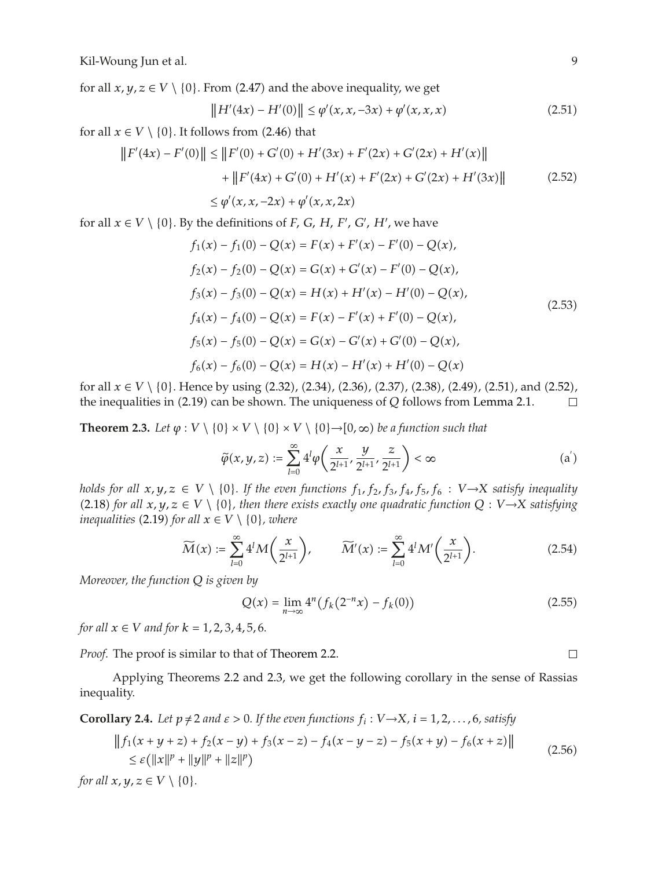for all  $x, y, z \in V \setminus \{0\}$ . From (2.47) and the above inequality, we get

$$
||H'(4x) - H'(0)|| \le \varphi'(x, x, -3x) + \varphi'(x, x, x) \tag{2.51}
$$

for all  $x \in V \setminus \{0\}$ . It follows from  $(2.46)$  that

$$
||F'(4x) - F'(0)|| \le ||F'(0) + G'(0) + H'(3x) + F'(2x) + G'(2x) + H'(x)||
$$
  
+ 
$$
||F'(4x) + G'(0) + H'(x) + F'(2x) + G'(2x) + H'(3x)||
$$
(2.52)  

$$
\le \varphi'(x, x, -2x) + \varphi'(x, x, 2x)
$$

for all  $x \in V \setminus \{0\}$ . By the definitions of *F*, *G*, *H*, *F'*, *G'*, *H'*, we have

$$
f_1(x) - f_1(0) - Q(x) = F(x) + F'(x) - F'(0) - Q(x),
$$
  
\n
$$
f_2(x) - f_2(0) - Q(x) = G(x) + G'(x) - F'(0) - Q(x),
$$
  
\n
$$
f_3(x) - f_3(0) - Q(x) = H(x) + H'(x) - H'(0) - Q(x),
$$
  
\n
$$
f_4(x) - f_4(0) - Q(x) = F(x) - F'(x) + F'(0) - Q(x),
$$
  
\n
$$
f_5(x) - f_5(0) - Q(x) = G(x) - G'(x) + G'(0) - Q(x),
$$
  
\n
$$
f_6(x) - f_6(0) - Q(x) = H(x) - H'(x) + H'(0) - Q(x)
$$
\n(2.53)

for all  $x \in V \setminus \{0\}$ . Hence by using  $(2.32)$ ,  $(2.34)$ ,  $(2.36)$ ,  $(2.37)$ ,  $(2.38)$ ,  $(2.49)$ ,  $(2.51)$ , and  $(2.52)$ , the inequalities in  $(2.19)$  can be shown. The uniqueness of O follows from Lemma 2.1 the inequalities in  $(2.19)$  can be shown. The uniqueness of  $Q$  follows from Lemma 2.1.  $\Box$ 

**Theorem 2.3.** Let  $\varphi : V \setminus \{0\} \times V \setminus \{0\} \times V \setminus \{0\} \rightarrow [0, \infty)$  be a function such that

$$
\widetilde{\varphi}(x, y, z) := \sum_{l=0}^{\infty} 4^l \varphi \left( \frac{x}{2^{l+1}}, \frac{y}{2^{l+1}}, \frac{z}{2^{l+1}} \right) < \infty \tag{a'}
$$

*holds for all*  $x, y, z \in V \setminus \{0\}$ . If the even functions  $f_1, f_2, f_3, f_4, f_5, f_6 : V \rightarrow X$  satisfy inequality (2.18) for all  $x, y, z \in V \setminus \{0\}$ , then there exists exactly one quadratic function  $Q: V \rightarrow X$  satisfying inequalities (2.19) for all  $x \in V \setminus \{0\}$  where *inequalities* (2.19) *for all*  $x \in V \setminus \{0\}$ *, where* 

$$
\widetilde{M}(x) := \sum_{l=0}^{\infty} 4^l M\left(\frac{x}{2^{l+1}}\right), \qquad \widetilde{M}'(x) := \sum_{l=0}^{\infty} 4^l M'\left(\frac{x}{2^{l+1}}\right). \tag{2.54}
$$

*Moreover, the function Q is given by*

$$
Q(x) = \lim_{n \to \infty} 4^n \big( f_k(2^{-n}x) - f_k(0) \big) \tag{2.55}
$$

*for all*  $x \in V$  *and for*  $k = 1, 2, 3, 4, 5, 6$ .

*Proof.* The proof is similar to that of Theorem 2.2.

Applying Theorems 2.2 and 2.3, we get the following corollary in the sense of Rassias inequality.

**Corollary 2.4.** Let  $p \neq 2$  and  $\varepsilon > 0$ . If the even functions  $f_i : V \rightarrow X$ ,  $i = 1, 2, ..., 6$ , satisfy

$$
||f_1(x + y + z) + f_2(x - y) + f_3(x - z) - f_4(x - y - z) - f_5(x + y) - f_6(x + z)||
$$
  
\n
$$
\leq \varepsilon (||x||^p + ||y||^p + ||z||^p)
$$
  
\nfor all  $x, y, z \in V \setminus \{0\}.$  (2.56)

 $\Box$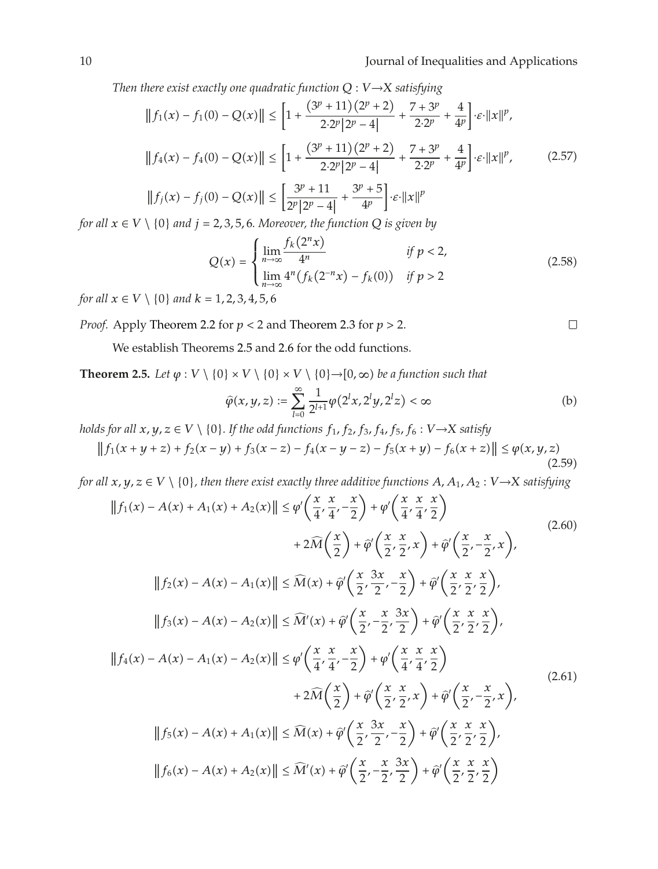*Then there exist exactly one quadratic function*  $Q: V \rightarrow X$  *satisfying* 

$$
||f_1(x) - f_1(0) - Q(x)|| \le \left[1 + \frac{(3^p + 11)(2^p + 2)}{2 \cdot 2^p |2^p - 4|} + \frac{7 + 3^p}{2 \cdot 2^p} + \frac{4}{4^p}\right] \cdot \varepsilon \cdot ||x||^p,
$$
  

$$
||f_4(x) - f_4(0) - Q(x)|| \le \left[1 + \frac{(3^p + 11)(2^p + 2)}{2 \cdot 2^p |2^p - 4|} + \frac{7 + 3^p}{2 \cdot 2^p} + \frac{4}{4^p}\right] \cdot \varepsilon \cdot ||x||^p,
$$
  

$$
||f_j(x) - f_j(0) - Q(x)|| \le \left[\frac{3^p + 11}{2^p |2^p - 4|} + \frac{3^p + 5}{4^p}\right] \cdot \varepsilon \cdot ||x||^p
$$
 (2.57)

*for all x* <sup>∈</sup> *V* \ {0} *and j* <sup>2</sup>*,* <sup>3</sup>*,* <sup>5</sup>*,* <sup>6</sup>*. Moreover, the function Q is given by*

$$
Q(x) = \begin{cases} \lim_{n \to \infty} \frac{f_k(2^n x)}{4^n} & \text{if } p < 2, \\ \lim_{n \to \infty} 4^n (f_k(2^{-n} x) - f_k(0)) & \text{if } p > 2 \end{cases}
$$
(2.58)

*for all*  $x \in V \setminus \{0\}$  *and*  $k = 1, 2, 3, 4, 5, 6$ 

*Proof.* Apply Theorem 2.2 for *p <* 2 and Theorem 2.3 for *p >* 2.

We establish Theorems 2.5 and 2.6 for the odd functions.

**Theorem 2.5.** *Let*  $\varphi : V \setminus \{0\} \times V \setminus \{0\} \times V \setminus \{0\} \rightarrow [0, \infty)$  *be a function such that* 

$$
\hat{\varphi}(x, y, z) := \sum_{l=0}^{\infty} \frac{1}{2^{l+1}} \varphi(2^l x, 2^l y, 2^l z) < \infty
$$
\n(b)

*holds for all*  $x, y, z \in V \setminus \{0\}$ *. If the odd functions*  $f_1$ *,*  $f_2$ *,*  $f_3$ *,*  $f_4$ *,*  $f_5$ *,*  $f_6 : V \rightarrow X$  *satisfy* 

$$
||f_1(x + y + z) + f_2(x - y) + f_3(x - z) - f_4(x - y - z) - f_5(x + y) - f_6(x + z)|| \le \varphi(x, y, z)
$$
\n(2.59)

*for all x, y, z* <sup>∈</sup> *<sup>V</sup>* \ {0}*, then there exist exactly three additive functions A, A*<sup>1</sup>*, A*<sup>2</sup> : *<sup>V</sup>* <sup>→</sup>*<sup>X</sup> satisfying*

$$
||f_1(x) - A(x) + A_1(x) + A_2(x)|| \leq \varphi' \left(\frac{x}{4}, \frac{x}{4}, -\frac{x}{2}\right) + \varphi' \left(\frac{x}{4}, \frac{x}{4}, \frac{x}{2}\right)
$$
  
+  $2\widehat{M}\left(\frac{x}{2}\right) + \widehat{\varphi}' \left(\frac{x}{2}, \frac{x}{2}, x\right) + \widehat{\varphi}' \left(\frac{x}{2}, -\frac{x}{2}, x\right),$   

$$
||f_2(x) - A(x) - A_1(x)|| \leq \widehat{M}(x) + \widehat{\varphi}' \left(\frac{x}{2}, \frac{3x}{2}, -\frac{x}{2}\right) + \widehat{\varphi}' \left(\frac{x}{2}, \frac{x}{2}, \frac{x}{2}\right),
$$
  

$$
||f_3(x) - A(x) - A_2(x)|| \leq \widehat{M}'(x) + \widehat{\varphi}' \left(\frac{x}{2}, -\frac{x}{2}, \frac{3x}{2}\right) + \widehat{\varphi}' \left(\frac{x}{2}, \frac{x}{2}, \frac{x}{2}\right),
$$
  

$$
||f_4(x) - A(x) - A_1(x) - A_2(x)|| \leq \varphi' \left(\frac{x}{4}, \frac{x}{4}, -\frac{x}{2}\right) + \varphi' \left(\frac{x}{4}, \frac{x}{4}, \frac{x}{2}\right)
$$
  
+  $2\widehat{M}\left(\frac{x}{2}\right) + \widehat{\varphi}' \left(\frac{x}{2}, \frac{x}{2}, x\right) + \widehat{\varphi}' \left(\frac{x}{2}, -\frac{x}{2}, x\right),$   

$$
||f_5(x) - A(x) + A_1(x)|| \leq \widehat{M}(x) + \widehat{\varphi}' \left(\frac{x}{2}, \frac{3x}{2}, -\frac{x}{2}\right) + \widehat{\varphi}' \left(\frac{x}{2}, \frac{x}{2}, \frac{x}{2}\right),
$$
  

$$
||f_6(x) - A(x) + A_2(x)|| \leq \widehat{M}'(x) + \widehat{\varphi}' \left(\frac{x}{2}, -\frac{x}{2}, \frac{3x}{2}\right) + \widehat{\varphi}' \left(\frac{x}{2}, \frac{x}{2}, \frac{x}{2}\right)
$$
 (2.61)

 $\Box$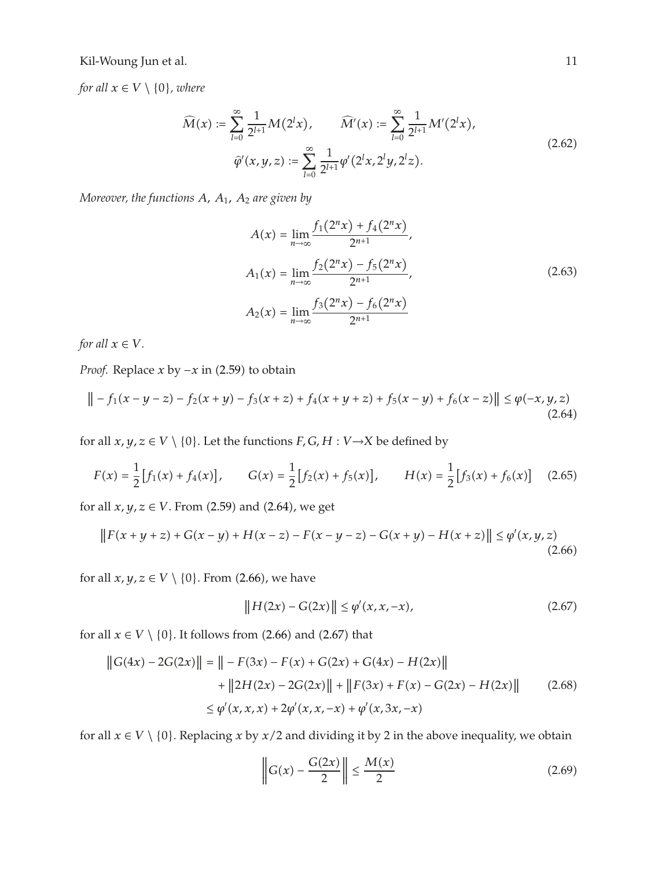*for all*  $x \in V \setminus \{0\}$ *, where* 

$$
\widehat{M}(x) := \sum_{l=0}^{\infty} \frac{1}{2^{l+1}} M(2^l x), \qquad \widehat{M}'(x) := \sum_{l=0}^{\infty} \frac{1}{2^{l+1}} M'(2^l x),
$$
\n
$$
\widehat{\varphi}'(x, y, z) := \sum_{l=0}^{\infty} \frac{1}{2^{l+1}} \varphi'(2^l x, 2^l y, 2^l z).
$$
\n(2.62)

*Moreover, the functions A, A*<sup>1</sup>*, A*<sup>2</sup> *are given by*

$$
A(x) = \lim_{n \to \infty} \frac{f_1(2^n x) + f_4(2^n x)}{2^{n+1}},
$$
  
\n
$$
A_1(x) = \lim_{n \to \infty} \frac{f_2(2^n x) - f_5(2^n x)}{2^{n+1}},
$$
  
\n
$$
A_2(x) = \lim_{n \to \infty} \frac{f_3(2^n x) - f_6(2^n x)}{2^{n+1}}
$$
\n(2.63)

*for all*  $x \in V$ *.* 

*Proof.* Replace *x* by −*x* in (2.59) to obtain

$$
\| -f_1(x - y - z) - f_2(x + y) - f_3(x + z) + f_4(x + y + z) + f_5(x - y) + f_6(x - z) \| \le \varphi(-x, y, z)
$$
\n(2.64)

for all  $x, y, z \in V \setminus \{0\}$ . Let the functions  $F, G, H : V \rightarrow X$  be defined by

$$
F(x) = \frac{1}{2} [f_1(x) + f_4(x)], \qquad G(x) = \frac{1}{2} [f_2(x) + f_5(x)], \qquad H(x) = \frac{1}{2} [f_3(x) + f_6(x)] \tag{2.65}
$$

for all  $x, y, z \in V$ . From  $(2.59)$  and  $(2.64)$ , we get

$$
||F(x+y+z) + G(x-y) + H(x-z) - F(x-y-z) - G(x+y) - H(x+z)|| \leq \varphi'(x,y,z)
$$
\n(2.66)

for all  $x, y, z \in V \setminus \{0\}$ . From (2.66), we have

$$
||H(2x) - G(2x)|| \le \varphi'(x, x, -x), \tag{2.67}
$$

for all  $x \in V \setminus \{0\}$ . It follows from  $(2.66)$  and  $(2.67)$  that

$$
||G(4x) - 2G(2x)|| = || - F(3x) - F(x) + G(2x) + G(4x) - H(2x)||
$$
  
+ 
$$
||2H(2x) - 2G(2x)|| + ||F(3x) + F(x) - G(2x) - H(2x)||
$$
(2.68)  

$$
\leq \varphi'(x, x, x) + 2\varphi'(x, x, -x) + \varphi'(x, 3x, -x)
$$

for all  $x \in V \setminus \{0\}$ . Replacing *x* by *x*/2 and dividing it by 2 in the above inequality, we obtain

$$
\left\| G(x) - \frac{G(2x)}{2} \right\| \le \frac{M(x)}{2} \tag{2.69}
$$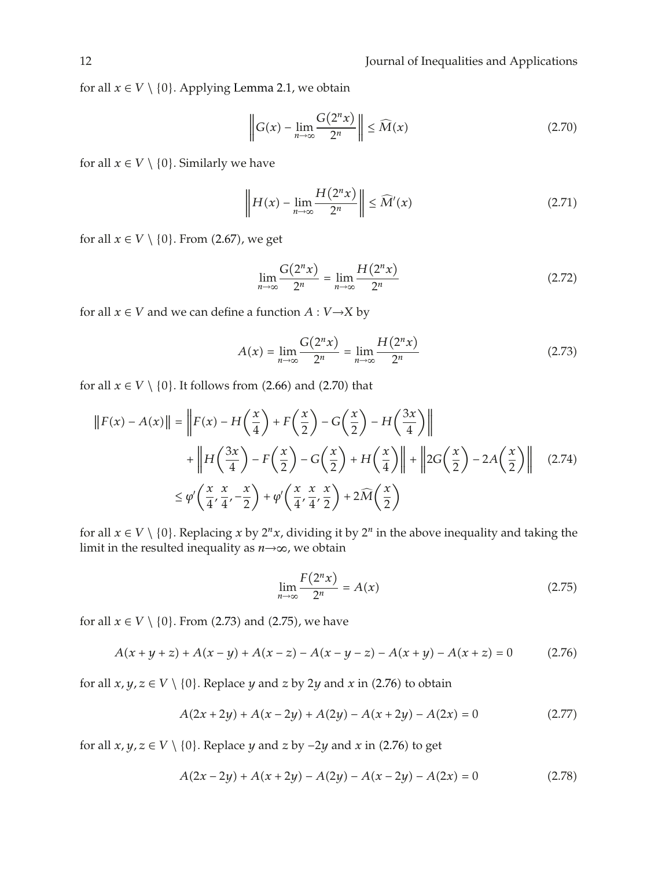for all  $x \in V \setminus \{0\}$ . Applying Lemma 2.1, we obtain

$$
\left\| G(x) - \lim_{n \to \infty} \frac{G(2^n x)}{2^n} \right\| \le \widehat{M}(x)
$$
\n(2.70)

for all  $x \in V \setminus \{0\}$ . Similarly we have

$$
\left\| H(x) - \lim_{n \to \infty} \frac{H(2^n x)}{2^n} \right\| \le \widehat{M}'(x) \tag{2.71}
$$

for all  $x \in V \setminus \{0\}$ . From  $(2.67)$ , we get

$$
\lim_{n \to \infty} \frac{G(2^n x)}{2^n} = \lim_{n \to \infty} \frac{H(2^n x)}{2^n}
$$
\n(2.72)

for all  $x \in V$  and we can define a function  $A : V \rightarrow X$  by

$$
A(x) = \lim_{n \to \infty} \frac{G(2^n x)}{2^n} = \lim_{n \to \infty} \frac{H(2^n x)}{2^n}
$$
 (2.73)

for all  $x \in V \setminus \{0\}$ . It follows from  $(2.66)$  and  $(2.70)$  that

$$
||F(x) - A(x)|| = ||F(x) - H\left(\frac{x}{4}\right) + F\left(\frac{x}{2}\right) - G\left(\frac{x}{2}\right) - H\left(\frac{3x}{4}\right)||
$$
  
+ 
$$
||H\left(\frac{3x}{4}\right) - F\left(\frac{x}{2}\right) - G\left(\frac{x}{2}\right) + H\left(\frac{x}{4}\right)|| + ||2G\left(\frac{x}{2}\right) - 2A\left(\frac{x}{2}\right)||
$$
 (2.74)  

$$
\leq \varphi'\left(\frac{x}{4}, \frac{x}{4}, -\frac{x}{2}\right) + \varphi'\left(\frac{x}{4}, \frac{x}{4}, \frac{x}{2}\right) + 2\widehat{M}\left(\frac{x}{2}\right)
$$

for all  $x \in V \setminus \{0\}$ . Replacing *x* by  $2^n x$ , dividing it by  $2^n$  in the above inequality and taking the limit in the resulted inequality as *n*→∞, we obtain

$$
\lim_{n \to \infty} \frac{F(2^n x)}{2^n} = A(x) \tag{2.75}
$$

for all  $x \in V \setminus \{0\}$ . From (2.73) and (2.75), we have

$$
A(x + y + z) + A(x - y) + A(x - z) - A(x - y - z) - A(x + y) - A(x + z) = 0
$$
 (2.76)

for all  $x, y, z \in V \setminus \{0\}$ . Replace *y* and *z* by 2*y* and *x* in (2.76) to obtain

$$
A(2x + 2y) + A(x - 2y) + A(2y) - A(x + 2y) - A(2x) = 0
$$
\n(2.77)

for all  $x, y, z \in V \setminus \{0\}$ . Replace *y* and *z* by  $-2y$  and *x* in (2.76) to get

$$
A(2x - 2y) + A(x + 2y) - A(2y) - A(x - 2y) - A(2x) = 0
$$
\n(2.78)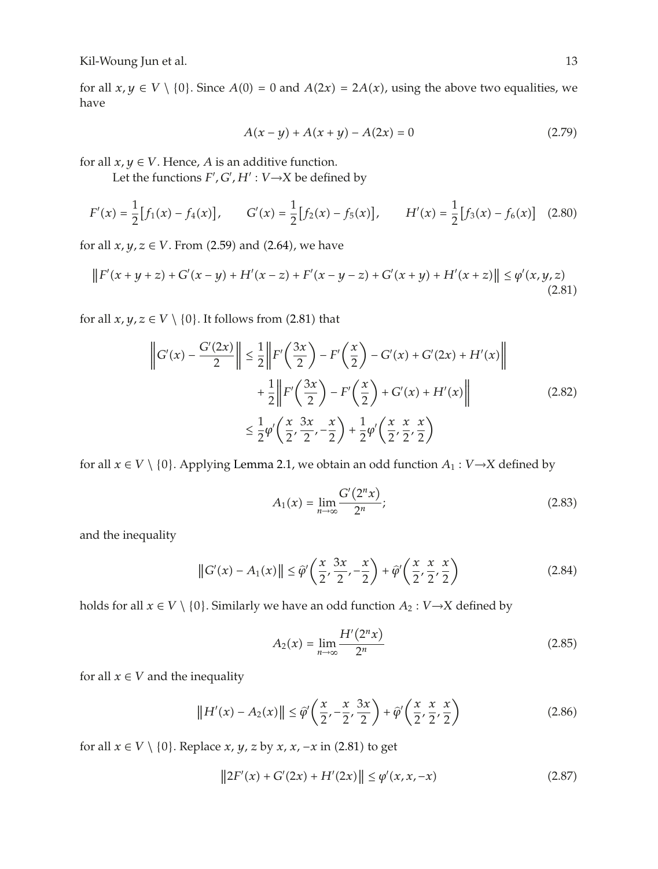for all  $x, y \in V \setminus \{0\}$ . Since  $A(0) = 0$  and  $A(2x) = 2A(x)$ , using the above two equalities, we have have

$$
A(x - y) + A(x + y) - A(2x) = 0
$$
\n(2.79)

for all  $x, y \in V$ . Hence, *A* is an additive function.

Let the functions  $F', G', H' : V \rightarrow X$  be defined by

$$
F'(x) = \frac{1}{2} [f_1(x) - f_4(x)], \qquad G'(x) = \frac{1}{2} [f_2(x) - f_5(x)], \qquad H'(x) = \frac{1}{2} [f_3(x) - f_6(x)] \quad (2.80)
$$

for all  $x, y, z \in V$ . From (2.59) and (2.64), we have

$$
||F'(x+y+z) + G'(x-y) + H'(x-z) + F'(x-y-z) + G'(x+y) + H'(x+z)|| \le \varphi'(x,y,z)
$$
\n(2.81)

for all  $x, y, z \in V \setminus \{0\}$ . It follows from (2.81) that

$$
\left\|G'(x) - \frac{G'(2x)}{2}\right\| \le \frac{1}{2} \left\|F'\left(\frac{3x}{2}\right) - F'\left(\frac{x}{2}\right) - G'(x) + G'(2x) + H'(x)\right\|
$$
  
+ 
$$
\frac{1}{2} \left\|F'\left(\frac{3x}{2}\right) - F'\left(\frac{x}{2}\right) + G'(x) + H'(x)\right\|
$$
  

$$
\le \frac{1}{2}\varphi'\left(\frac{x}{2}, \frac{3x}{2}, \frac{x}{2}\right) + \frac{1}{2}\varphi'\left(\frac{x}{2}, \frac{x}{2}, \frac{x}{2}\right)
$$
 (2.82)

for all  $x \in V \setminus \{0\}$ . Applying Lemma 2.1, we obtain an odd function  $A_1 : V \rightarrow X$  defined by

$$
A_1(x) = \lim_{n \to \infty} \frac{G'(2^n x)}{2^n};
$$
\n(2.83)

and the inequality

$$
||G'(x) - A_1(x)|| \leq \hat{\varphi}'\left(\frac{x}{2}, \frac{3x}{2}, -\frac{x}{2}\right) + \hat{\varphi}'\left(\frac{x}{2}, \frac{x}{2}, \frac{x}{2}\right)
$$
 (2.84)

holds for all  $x \in V \setminus \{0\}$ . Similarly we have an odd function  $A_2 : V \rightarrow X$  defined by

$$
A_2(x) = \lim_{n \to \infty} \frac{H'(2^n x)}{2^n}
$$
 (2.85)

for all  $x \in V$  and the inequality

$$
||H'(x) - A_2(x)|| \le \hat{\varphi}'\left(\frac{x}{2}, -\frac{x}{2}, \frac{3x}{2}\right) + \hat{\varphi}'\left(\frac{x}{2}, \frac{x}{2}, \frac{x}{2}\right)
$$
 (2.86)

for all  $x \in V \setminus \{0\}$ . Replace  $x, y, z$  by  $x, x, -x$  in  $(2.81)$  to get

$$
||2F'(x) + G'(2x) + H'(2x)|| \le \varphi'(x, x, -x)
$$
\n(2.87)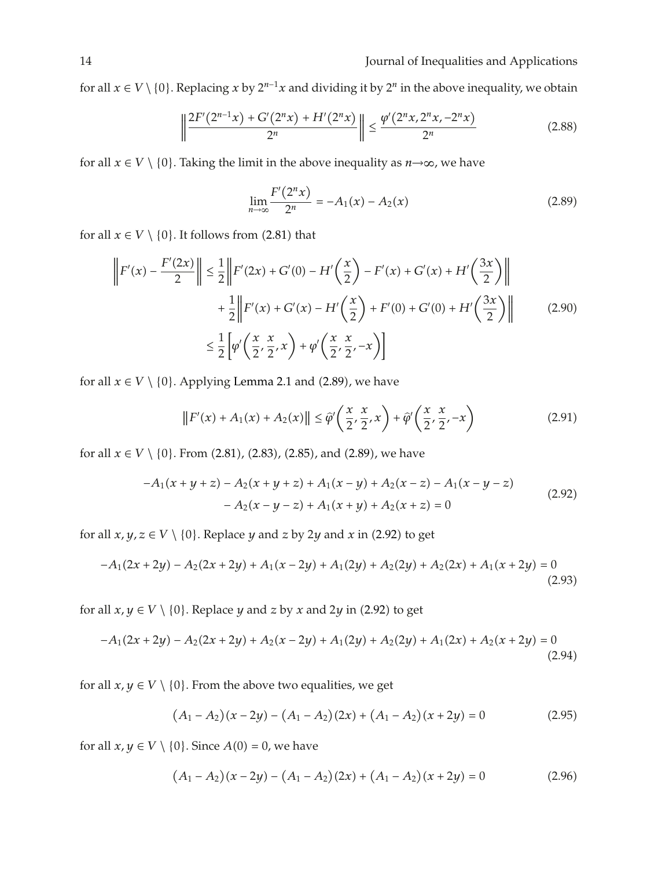for all  $x \in V \setminus \{0\}$ . Replacing  $x$  by  $2^{n-1}x$  and dividing it by  $2^n$  in the above inequality, we obtain

$$
\left\| \frac{2F'(2^{n-1}x) + G'(2^nx) + H'(2^nx)}{2^n} \right\| \le \frac{\varphi'(2^n x, 2^n x, -2^n x)}{2^n} \tag{2.88}
$$

for all  $x \in V \setminus \{0\}$ . Taking the limit in the above inequality as  $n \rightarrow \infty$ , we have

$$
\lim_{n \to \infty} \frac{F'(2^n x)}{2^n} = -A_1(x) - A_2(x) \tag{2.89}
$$

for all  $x \in V \setminus \{0\}$ . It follows from  $(2.81)$  that

$$
\left\| F'(x) - \frac{F'(2x)}{2} \right\| \le \frac{1}{2} \left\| F'(2x) + G'(0) - H'\left(\frac{x}{2}\right) - F'(x) + G'(x) + H'\left(\frac{3x}{2}\right) \right\|
$$
  
+ 
$$
\frac{1}{2} \left\| F'(x) + G'(x) - H'\left(\frac{x}{2}\right) + F'(0) + G'(0) + H'\left(\frac{3x}{2}\right) \right\|
$$
 (2.90)  

$$
\le \frac{1}{2} \left[ \varphi' \left(\frac{x}{2}, \frac{x}{2}, x\right) + \varphi' \left(\frac{x}{2}, \frac{x}{2}, -x\right) \right]
$$

for all  $x \in V \setminus \{0\}$ . Applying Lemma 2.1 and (2.89), we have

$$
\|F'(x) + A_1(x) + A_2(x)\| \leq \widehat{\varphi}'\left(\frac{x}{2}, \frac{x}{2}, x\right) + \widehat{\varphi}'\left(\frac{x}{2}, \frac{x}{2}, -x\right)
$$
\n(2.91)

for all  $x \in V \setminus \{0\}$ . From  $(2.81)$ ,  $(2.83)$ ,  $(2.85)$ , and  $(2.89)$ , we have

$$
-A_1(x+y+z) - A_2(x+y+z) + A_1(x-y) + A_2(x-z) - A_1(x-y-z)
$$
  

$$
-A_2(x-y-z) + A_1(x+y) + A_2(x+z) = 0
$$
\n(2.92)

for all  $x, y, z \in V \setminus \{0\}$ . Replace  $y$  and  $z$  by 2 $y$  and  $x$  in (2.92) to get

$$
-A_1(2x+2y) - A_2(2x+2y) + A_1(x-2y) + A_1(2y) + A_2(2y) + A_2(2x) + A_1(x+2y) = 0
$$
\n(2.93)

for all  $x, y \in V \setminus \{0\}$ . Replace  $y$  and  $z$  by  $x$  and  $2y$  in  $(2.92)$  to get

$$
-A_1(2x+2y) - A_2(2x+2y) + A_2(x-2y) + A_1(2y) + A_2(2y) + A_1(2x) + A_2(x+2y) = 0
$$
\n(2.94)

for all  $x, y \in V \setminus \{0\}$ . From the above two equalities, we get

$$
(A_1 - A_2)(x - 2y) - (A_1 - A_2)(2x) + (A_1 - A_2)(x + 2y) = 0
$$
\n(2.95)

for all  $x, y \in V \setminus \{0\}$ . Since  $A(0) = 0$ , we have

$$
(A_1 - A_2)(x - 2y) - (A_1 - A_2)(2x) + (A_1 - A_2)(x + 2y) = 0
$$
\n(2.96)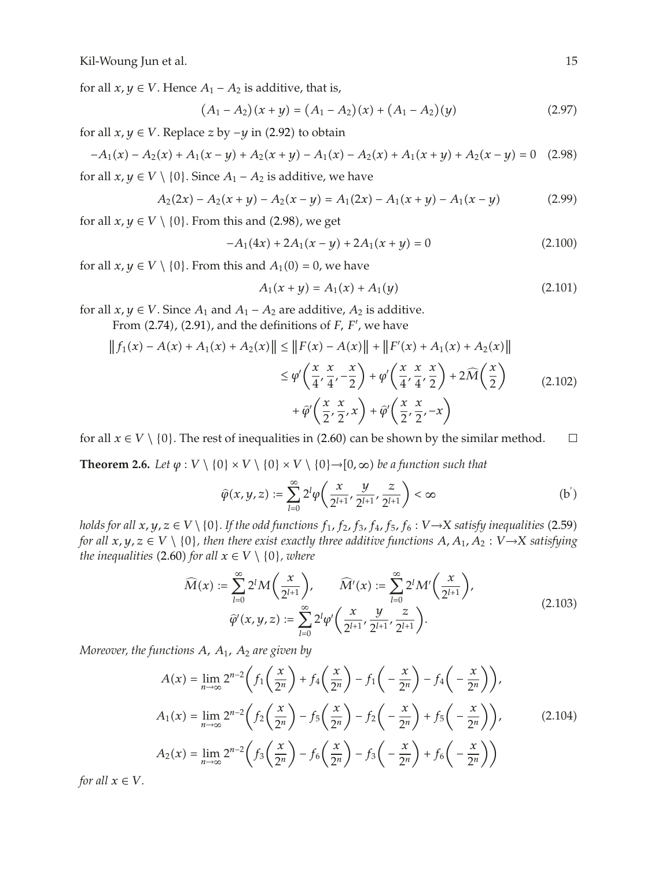for all  $x, y \in V$ . Hence  $A_1 - A_2$  is additive, that is,

$$
(A_1 - A_2)(x + y) = (A_1 - A_2)(x) + (A_1 - A_2)(y)
$$
\n(2.97)

for all  $x, y \in V$ . Replace  $z$  by  $-y$  in (2.92) to obtain

$$
-A_1(x) - A_2(x) + A_1(x - y) + A_2(x + y) - A_1(x) - A_2(x) + A_1(x + y) + A_2(x - y) = 0
$$
 (2.98)

for all  $x, y \in V \setminus \{0\}$ . Since  $A_1 - A_2$  is additive, we have

$$
A_2(2x) - A_2(x + y) - A_2(x - y) = A_1(2x) - A_1(x + y) - A_1(x - y)
$$
\n(2.99)

for all  $x, y \in V \setminus \{0\}$ . From this and  $(2.98)$ , we get

$$
-A_1(4x) + 2A_1(x - y) + 2A_1(x + y) = 0
$$
\n(2.100)

for all  $x, y \in V \setminus \{0\}$ . From this and  $A_1(0) = 0$ , we have

$$
A_1(x + y) = A_1(x) + A_1(y)
$$
 (2.101)

for all  $x, y \in V$ . Since  $A_1$  and  $A_1 - A_2$  are additive,  $A_2$  is additive.

From (2.74), (2.91), and the definitions of *F, F'*, we have

$$
\|f_1(x) - A(x) + A_1(x) + A_2(x)\| \le \|F(x) - A(x)\| + \|F'(x) + A_1(x) + A_2(x)\|
$$
  

$$
\le \varphi' \left(\frac{x}{4}, \frac{x}{4}, -\frac{x}{2}\right) + \varphi' \left(\frac{x}{4}, \frac{x}{4}, \frac{x}{2}\right) + 2\widehat{M}\left(\frac{x}{2}\right)
$$
  

$$
+ \widehat{\varphi}' \left(\frac{x}{2}, \frac{x}{2}, x\right) + \widehat{\varphi}' \left(\frac{x}{2}, \frac{x}{2}, -x\right)
$$
 (2.102)

for all  $x \in V \setminus \{0\}$ . The rest of inequalities in  $(2.60)$  can be shown by the similar method.  $\Box$ 

**Theorem 2.6.** *Let*  $\varphi : V \setminus \{0\} \times V \setminus \{0\} \times V \setminus \{0\} \rightarrow [0, \infty)$  be a function such that

$$
\widehat{\varphi}(x, y, z) := \sum_{l=0}^{\infty} 2^l \varphi \left( \frac{x}{2^{l+1}}, \frac{y}{2^{l+1}}, \frac{z}{2^{l+1}} \right) < \infty \tag{b'}
$$

*holds for all*  $x, y, z \in V \setminus \{0\}$ *. If the odd functions*  $f_1, f_2, f_3, f_4, f_5, f_6 : V \rightarrow X$  *satisfy inequalities* (2.59)<br>for all  $x, y, z \in V \setminus \{0\}$ , then there exist exactly three addition functions  $A, A_1, A_2 : V \rightarrow X$  catisfyi *for all*  $x, y, z \in V \setminus \{0\}$ , then there exist exactly three additive functions  $A, A_1, A_2 : V \rightarrow X$  satisfying *the inequalities* (2.60) *for all*  $x \in V \setminus \{0\}$ *, where* 

$$
\widehat{M}(x) := \sum_{l=0}^{\infty} 2^l M\left(\frac{x}{2^{l+1}}\right), \qquad \widehat{M}'(x) := \sum_{l=0}^{\infty} 2^l M'\left(\frac{x}{2^{l+1}}\right),
$$
\n
$$
\widehat{\varphi}'(x, y, z) := \sum_{l=0}^{\infty} 2^l \varphi'\left(\frac{x}{2^{l+1}}, \frac{y}{2^{l+1}}, \frac{z}{2^{l+1}}\right).
$$
\n(2.103)

*Moreover, the functions A, A*<sup>1</sup>*, A*<sup>2</sup> *are given by*

$$
A(x) = \lim_{n \to \infty} 2^{n-2} \left( f_1\left(\frac{x}{2^n}\right) + f_4\left(\frac{x}{2^n}\right) - f_1\left(-\frac{x}{2^n}\right) - f_4\left(-\frac{x}{2^n}\right) \right),
$$
  
\n
$$
A_1(x) = \lim_{n \to \infty} 2^{n-2} \left( f_2\left(\frac{x}{2^n}\right) - f_5\left(\frac{x}{2^n}\right) - f_2\left(-\frac{x}{2^n}\right) + f_5\left(-\frac{x}{2^n}\right) \right),
$$
  
\n
$$
A_2(x) = \lim_{n \to \infty} 2^{n-2} \left( f_3\left(\frac{x}{2^n}\right) - f_6\left(\frac{x}{2^n}\right) - f_3\left(-\frac{x}{2^n}\right) + f_6\left(-\frac{x}{2^n}\right) \right)
$$
  
\n(2.104)

*for all*  $x \in V$ *.*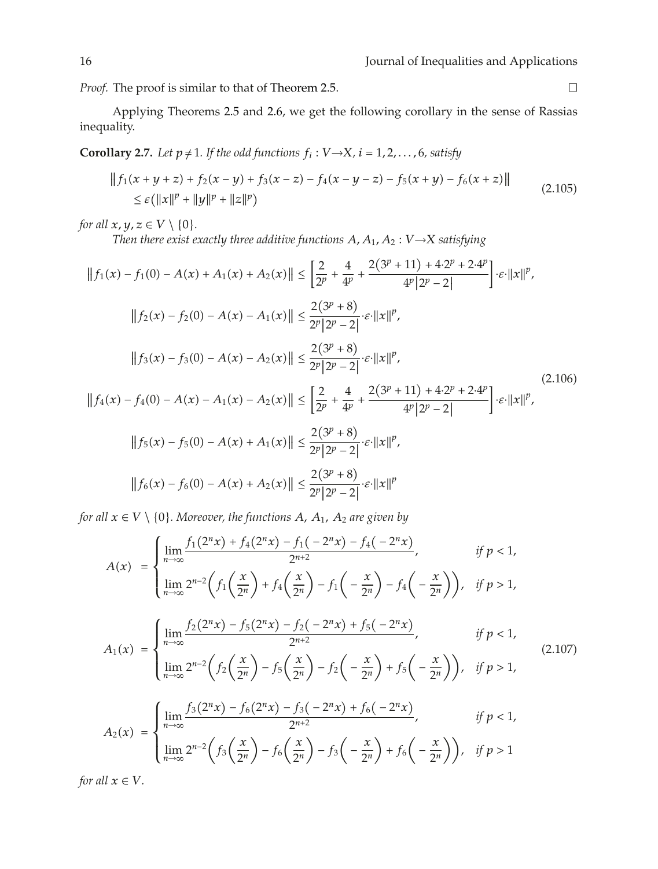*Proof.* The proof is similar to that of Theorem 2.5.

Applying Theorems 2.5 and 2.6, we get the following corollary in the sense of Rassias inequality.

**Corollary 2.7.** *Let*  $p \neq 1$ *. If the odd functions*  $f_i$  :  $V \rightarrow X$ *,*  $i = 1, 2, ..., 6$ *, satisfy* 

$$
||f_1(x + y + z) + f_2(x - y) + f_3(x - z) - f_4(x - y - z) - f_5(x + y) - f_6(x + z)||
$$
  
\n
$$
\leq \varepsilon (||x||^p + ||y||^p + ||z||^p)
$$
\n(2.105)

*for all*  $x, y, z \in V \setminus \{0\}$ *.* 

*Then there exist exactly three additive functions*  $A$ ,  $A_1$ ,  $A_2$  :  $V \rightarrow X$  *satisfying* 

$$
||f_1(x) - f_1(0) - A(x) + A_1(x) + A_2(x)|| \le \left[\frac{2}{2^p} + \frac{4}{4^p} + \frac{2(3^p + 11) + 4 \cdot 2^p + 2 \cdot 4^p}{4^p |2^p - 2|}\right] \cdot \varepsilon \cdot ||x||^p,
$$
  
\n
$$
||f_2(x) - f_2(0) - A(x) - A_1(x)|| \le \frac{2(3^p + 8)}{2^p |2^p - 2|} \cdot \varepsilon \cdot ||x||^p,
$$
  
\n
$$
||f_3(x) - f_3(0) - A(x) - A_2(x)|| \le \frac{2(3^p + 8)}{2^p |2^p - 2|} \cdot \varepsilon \cdot ||x||^p,
$$
  
\n
$$
||f_4(x) - f_4(0) - A(x) - A_1(x) - A_2(x)|| \le \left[\frac{2}{2^p} + \frac{4}{4^p} + \frac{2(3^p + 11) + 4 \cdot 2^p + 2 \cdot 4^p}{4^p |2^p - 2|}\right] \cdot \varepsilon \cdot ||x||^p,
$$
  
\n
$$
||f_5(x) - f_5(0) - A(x) + A_1(x)|| \le \frac{2(3^p + 8)}{2^p |2^p - 2|} \cdot \varepsilon \cdot ||x||^p,
$$
  
\n
$$
||f_6(x) - f_6(0) - A(x) + A_2(x)|| \le \frac{2(3^p + 8)}{2^p |2^p - 2|} \cdot \varepsilon \cdot ||x||^p
$$

*for all*  $x \in V \setminus \{0\}$ *. Moreover, the functions A, A*<sub>1</sub>*, A*<sub>2</sub> *are given by* 

$$
A(x) = \begin{cases} \lim_{n \to \infty} \frac{f_1(2^n x) + f_4(2^n x) - f_1(-2^n x) - f_4(-2^n x)}{2^{n+2}}, & \text{if } p < 1, \\ \lim_{n \to \infty} 2^{n-2} \left( f_1\left(\frac{x}{2^n}\right) + f_4\left(\frac{x}{2^n}\right) - f_1\left(-\frac{x}{2^n}\right) - f_4\left(-\frac{x}{2^n}\right) \right), & \text{if } p > 1, \end{cases}
$$

$$
A_1(x) = \begin{cases} \lim_{n \to \infty} \frac{f_2(2^n x) - f_5(2^n x) - f_2(-2^n x) + f_5(-2^n x)}{2^{n+2}}, & \text{if } p < 1, \\ \lim_{n \to \infty} \frac{f_2(x)}{2^n x}, & \text{if } p < 1. \end{cases}
$$
(2.107)

$$
\left(\lim_{n\to\infty} 2^{n-2}\left(f_2\left(\frac{x}{2^n}\right) - f_5\left(\frac{x}{2^n}\right) - f_2\left(-\frac{x}{2^n}\right) + f_5\left(-\frac{x}{2^n}\right)\right), \text{ if } p > 1,
$$
\n
$$
\left(\lim \frac{f_3(2^n x) - f_6(2^n x) - f_3(-2^n x) + f_6(-2^n x)}{2^n}\right), \text{ if } p < 1,
$$

$$
A_2(x) = \begin{cases} \lim_{n \to \infty} \frac{5x^2 - 3x - 3}{2n+2}, & \text{if } p < 1, \\ \lim_{n \to \infty} 2^{n-2} \left( f_3\left(\frac{x}{2^n}\right) - f_6\left(\frac{x}{2^n}\right) - f_3\left(-\frac{x}{2^n}\right) + f_6\left(-\frac{x}{2^n}\right) \right), & \text{if } p > 1 \end{cases}
$$

*for all*  $x \in V$ *.* 

 $\Box$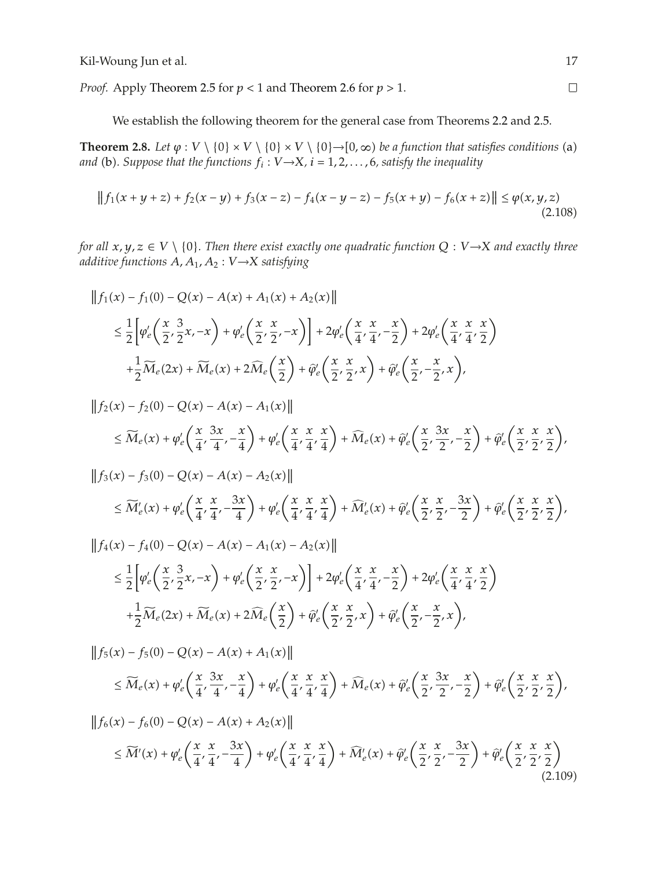*Proof.* Apply Theorem 2.5 for *p <* 1 and Theorem 2.6 for *p >* 1.

We establish the following theorem for the general case from Theorems 2.2 and 2.5.

**Theorem 2.8.** Let  $\varphi : V \setminus \{0\} \times V \setminus \{0\} \times V \setminus \{0\} \to [0, \infty)$  be a function that satisfies conditions (a) and (b). Suppose that the functions  $f : V \setminus Y$  i = 1.2  $\neq$  satisfies the inequality and (b). Suppose that the functions  $f_i: V{\rightarrow}X$ ,  $i=1,2,\ldots,6$ , satisfy the inequality

$$
|| f_1(x + y + z) + f_2(x - y) + f_3(x - z) - f_4(x - y - z) - f_5(x + y) - f_6(x + z)|| \le \varphi(x, y, z)
$$
\n(2.108)

*for all*  $x, y, z \in V \setminus \{0\}$ . Then there exist exactly one quadratic function  $Q : V \rightarrow X$  and exactly three *additive functions A, A*<sup>1</sup>*, A*<sup>2</sup> : *<sup>V</sup>* <sup>→</sup>*<sup>X</sup> satisfying*

$$
\|f_1(x) - f_1(0) - Q(x) - A(x) + A_1(x) + A_2(x)\|
$$
  
\n
$$
\leq \frac{1}{2} \Big[ \varphi'_e \Big( \frac{x}{2}, \frac{3}{2}x, -x \Big) + \varphi'_e \Big( \frac{x}{2}, \frac{x}{2}, -x \Big) \Big] + 2\varphi'_e \Big( \frac{x}{4}, \frac{x}{4}, -\frac{x}{2} \Big) + 2\varphi'_e \Big( \frac{x}{4}, \frac{x}{4}, \frac{x}{2} \Big)
$$
  
\n
$$
+ \frac{1}{2} \widetilde{M}_e(2x) + \widetilde{M}_e(x) + 2\widehat{M}_e \Big( \frac{x}{2} \Big) + \widehat{\varphi}'_e \Big( \frac{x}{2}, \frac{x}{2}, x \Big) + \widehat{\varphi}'_e \Big( \frac{x}{2}, -\frac{x}{2}, x \Big),
$$

$$
\|f_2(x) - f_2(0) - Q(x) - A(x) - A_1(x)\|
$$
  
\n
$$
\leq \widetilde{M}_e(x) + \varphi'_e\left(\frac{x}{4}, \frac{3x}{4}, -\frac{x}{4}\right) + \varphi'_e\left(\frac{x}{4}, \frac{x}{4}, \frac{x}{4}\right) + \widehat{M}_e(x) + \widehat{\varphi}'_e\left(\frac{x}{2}, \frac{3x}{2}, -\frac{x}{2}\right) + \widehat{\varphi}'_e\left(\frac{x}{2}, \frac{x}{2}, \frac{x}{2}\right),
$$

$$
||f_3(x) - f_3(0) - Q(x) - A(x) - A_2(x)||
$$
  
\n
$$
\leq \widetilde{M}'_e(x) + \varphi'_e\left(\frac{x}{4}, \frac{x}{4}, -\frac{3x}{4}\right) + \varphi'_e\left(\frac{x}{4}, \frac{x}{4}, \frac{x}{4}\right) + \widehat{M}'_e(x) + \widehat{\varphi}'_e\left(\frac{x}{2}, \frac{x}{2}, -\frac{3x}{2}\right) + \widehat{\varphi}'_e\left(\frac{x}{2}, \frac{x}{2}, \frac{x}{2}\right),
$$

$$
\|f_4(x) - f_4(0) - Q(x) - A(x) - A_1(x) - A_2(x)\|
$$
  
\n
$$
\leq \frac{1}{2} \Big[ \varphi'_e \Big( \frac{x}{2}, \frac{3}{2}x, -x \Big) + \varphi'_e \Big( \frac{x}{2}, \frac{x}{2}, -x \Big) \Big] + 2\varphi'_e \Big( \frac{x}{4}, \frac{x}{4}, -\frac{x}{2} \Big) + 2\varphi'_e \Big( \frac{x}{4}, \frac{x}{4}, \frac{x}{2} \Big)
$$
  
\n
$$
+ \frac{1}{2} \widetilde{M}_e(2x) + \widetilde{M}_e(x) + 2\widehat{M}_e \Big( \frac{x}{2} \Big) + \widehat{\varphi}'_e \Big( \frac{x}{2}, \frac{x}{2}, x \Big) + \widehat{\varphi}'_e \Big( \frac{x}{2}, -\frac{x}{2}, x \Big),
$$

$$
\|f_5(x) - f_5(0) - Q(x) - A(x) + A_1(x)\|
$$
  
\n
$$
\leq \widetilde{M}_e(x) + \varphi'_e\left(\frac{x}{4}, \frac{3x}{4}, -\frac{x}{4}\right) + \varphi'_e\left(\frac{x}{4}, \frac{x}{4}, \frac{x}{4}\right) + \widehat{M}_e(x) + \widehat{\varphi}'_e\left(\frac{x}{2}, \frac{3x}{2}, -\frac{x}{2}\right) + \widehat{\varphi}'_e\left(\frac{x}{2}, \frac{x}{2}, \frac{x}{2}\right),
$$
  
\n
$$
\|f_6(x) - f_6(0) - Q(x) - A(x) + A_2(x)\|
$$

$$
\leq \widetilde{M}'(x) + \varphi_e' \left(\frac{x}{4}, \frac{x}{4}, -\frac{3x}{4}\right) + \varphi_e' \left(\frac{x}{4}, \frac{x}{4}, \frac{x}{4}\right) + \widehat{M}_e'(x) + \widehat{\varphi}_e' \left(\frac{x}{2}, \frac{x}{2}, -\frac{3x}{2}\right) + \widehat{\varphi}_e' \left(\frac{x}{2}, \frac{x}{2}, \frac{x}{2}\right)
$$
\n(2.109)

 $\Box$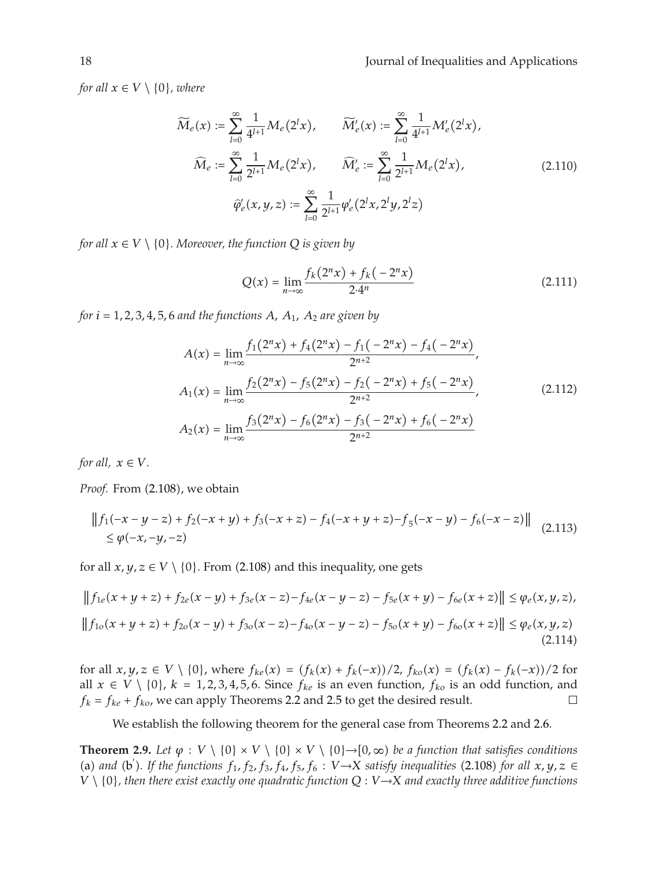*for all*  $x \in V \setminus \{0\}$ *, where* 

$$
\widetilde{M}_e(x) := \sum_{l=0}^{\infty} \frac{1}{4^{l+1}} M_e(2^l x), \qquad \widetilde{M}'_e(x) := \sum_{l=0}^{\infty} \frac{1}{4^{l+1}} M'_e(2^l x), \n\widehat{M}_e := \sum_{l=0}^{\infty} \frac{1}{2^{l+1}} M_e(2^l x), \qquad \widehat{M}'_e := \sum_{l=0}^{\infty} \frac{1}{2^{l+1}} M_e(2^l x), \n\widehat{\varphi}'_e(x, y, z) := \sum_{l=0}^{\infty} \frac{1}{2^{l+1}} \varphi'_e(2^l x, 2^l y, 2^l z)
$$
\n(2.110)

*for all*  $x \in V \setminus \{0\}$ *. Moreover, the function*  $Q$  *is given by* 

$$
Q(x) = \lim_{n \to \infty} \frac{f_k(2^n x) + f_k(-2^n x)}{2 \cdot 4^n}
$$
 (2.111)

*for*  $i = 1, 2, 3, 4, 5, 6$  *and the functions*  $A$ *,*  $A_1$ *,*  $A_2$  *are given by* 

$$
A(x) = \lim_{n \to \infty} \frac{f_1(2^n x) + f_4(2^n x) - f_1(-2^n x) - f_4(-2^n x)}{2^{n+2}},
$$
  
\n
$$
A_1(x) = \lim_{n \to \infty} \frac{f_2(2^n x) - f_5(2^n x) - f_2(-2^n x) + f_5(-2^n x)}{2^{n+2}},
$$
  
\n
$$
A_2(x) = \lim_{n \to \infty} \frac{f_3(2^n x) - f_6(2^n x) - f_3(-2^n x) + f_6(-2^n x)}{2^{n+2}}
$$
\n(2.112)

*for all,*  $x \in V$ *.* 

Proof. From (2.108), we obtain

$$
||f_1(-x - y - z) + f_2(-x + y) + f_3(-x + z) - f_4(-x + y + z) - f_5(-x - y) - f_6(-x - z)||
$$
  
\$\le \varphi(-x, -y, -z)\$ (2.113)

for all  $x, y, z \in V \setminus \{0\}$ . From (2.108) and this inequality, one gets

$$
||f_{1e}(x+y+z)+f_{2e}(x-y)+f_{3e}(x-z)-f_{4e}(x-y-z)-f_{5e}(x+y)-f_{6e}(x+z)|| \leq \varphi_e(x,y,z),
$$
  
\n
$$
||f_{1o}(x+y+z)+f_{2o}(x-y)+f_{3o}(x-z)-f_{4o}(x-y-z)-f_{5o}(x+y)-f_{6o}(x+z)|| \leq \varphi_e(x,y,z)
$$
\n(2.114)

for all *x, y, z* ∈ *V* \ {0}, where  $f_{ke}(x) = (f_k(x) + f_k(-x))/2$ ,  $f_{ko}(x) = (f_k(x) - f_k(-x))/2$  for all *x* ∈ *V* \ {0},  $k = 1, 2, 3, 4, 5, 6$  Since  $f_k$  is an over function,  $f_k$  is an odd function and all *x* ∈ *V* \ {0}, *k* = 1,2,3,4,5,6. Since *f<sub>ke</sub>* is an even function, *f<sub>ko</sub>* is an odd function, and *f<sub>k</sub>* = *f<sub>ke</sub>* + *f<sub>ko</sub>*, we can apply Theorems 2.2 and 2.5 to get the desired result. □  $f_k = f_{ke} + f_{ko}$ , we can apply Theorems 2.2 and 2.5 to get the desired result.

We establish the following theorem for the general case from Theorems 2.2 and 2.6.

**Theorem 2.9.** Let  $\varphi : V \setminus \{0\} \times V \setminus \{0\} \times V \setminus \{0\} \to [0, \infty)$  be a function that satisfies conditions (a) and (b'). If the functions  $f_1$ ,  $f_2$ ,  $f_3$ ,  $f_4$ ,  $f_5$ ,  $f_6$ :  $V \rightarrow X$  satisfy inequalities (2.108) for all  $x, y, z \in V \setminus \{0\}$ , then there exist exactly one quadratic function  $Q: V \rightarrow X$  and exactly three additive *V* \ {0}*, then there exist exactly one quadratic function Q* : *V* <sup>→</sup>*X and exactly three additive functions*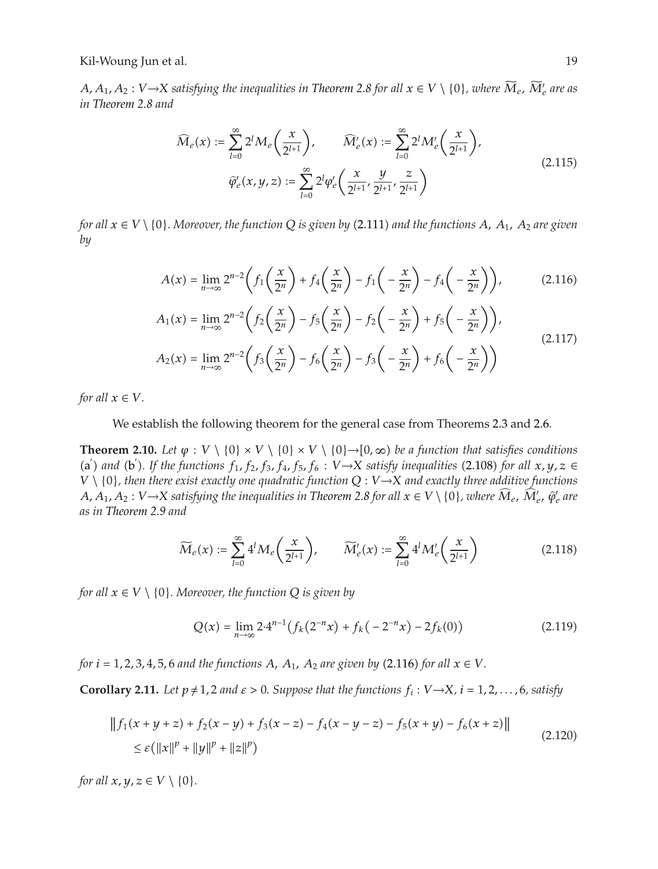*A, A*<sub>1</sub>*, A*<sub>2</sub> : *V* →*X satisfying the inequalities in Theorem 2.8 for all*  $x \in V \setminus \{0\}$ *, where*  $M_e$ *,*  $M'_e$  *are as*<br>in Theorem 2.8 and *in Theorem 2.8 and*

$$
\widehat{M}_e(x) := \sum_{l=0}^{\infty} 2^l M_e \left( \frac{x}{2^{l+1}} \right), \qquad \widehat{M}'_e(x) := \sum_{l=0}^{\infty} 2^l M'_e \left( \frac{x}{2^{l+1}} \right),
$$
\n
$$
\widehat{\varphi}'_e(x, y, z) := \sum_{l=0}^{\infty} 2^l \varphi'_e \left( \frac{x}{2^{l+1}}, \frac{y}{2^{l+1}}, \frac{z}{2^{l+1}} \right)
$$
\n(2.115)

*for all*  $x \in V \setminus \{0\}$ . Moreover, the function  $Q$  is given by (2.111) and the functions  $A$ ,  $A_1$ ,  $A_2$  are given<br>by *by*

$$
A(x) = \lim_{n \to \infty} 2^{n-2} \left( f_1\left(\frac{x}{2^n}\right) + f_4\left(\frac{x}{2^n}\right) - f_1\left(-\frac{x}{2^n}\right) - f_4\left(-\frac{x}{2^n}\right) \right), \tag{2.116}
$$

$$
A_1(x) = \lim_{n \to \infty} 2^{n-2} \left( f_2\left(\frac{x}{2^n}\right) - f_5\left(\frac{x}{2^n}\right) - f_2\left(-\frac{x}{2^n}\right) + f_5\left(-\frac{x}{2^n}\right) \right),
$$
  

$$
A_2(x) = \lim_{n \to \infty} 2^{n-2} \left( f_3\left(\frac{x}{2^n}\right) - f_6\left(\frac{x}{2^n}\right) - f_3\left(-\frac{x}{2^n}\right) + f_6\left(-\frac{x}{2^n}\right) \right)
$$
(2.117)

*for all*  $x \in V$ *.* 

### We establish the following theorem for the general case from Theorems 2.3 and 2.6.

**Theorem 2.10.** *Let*  $\varphi : V \setminus \{0\} \times V \setminus \{0\} \times V \setminus \{0\} \to [0, \infty)$  *be a function that satisfies conditions* (a) and (b). If the functions  $f_1$ ,  $f_2$ ,  $f_3$ ,  $f_4$ ,  $f_5$ ,  $f_6$ :  $V \rightarrow X$  satisfy inequalities (2.108) for all  $x, y, z \in V$ . *V* \ {0}*, then there exist exactly one quadratic function Q* : *V* <sup>→</sup>*X and exactly three additive functions A, A*<sub>1</sub>*, A*<sub>2</sub> : *V* →*X* satisfying the inequalities in Theorem 2.8 for all  $x \in V \setminus \{0\}$ , where  $M_e$ ,  $M'_e$ ,  $\hat{\varphi}'_e$  are *as in Theorem 2.9 and*

$$
\widetilde{M}_e(x) := \sum_{l=0}^{\infty} 4^l M_e\left(\frac{x}{2^{l+1}}\right), \qquad \widetilde{M}'_e(x) := \sum_{l=0}^{\infty} 4^l M'_e\left(\frac{x}{2^{l+1}}\right)
$$
\n(2.118)

*for all*  $x \in V \setminus \{0\}$ *. Moreover, the function Q is given by* 

$$
Q(x) = \lim_{n \to \infty} 2 \cdot 4^{n-1} \left( f_k(2^{-n}x) + f_k(-2^{-n}x) - 2f_k(0) \right)
$$
 (2.119)

*for*  $i = 1, 2, 3, 4, 5, 6$  *and the functions*  $A$ *,*  $A_1$ *,*  $A_2$  *are given by* (2.116) *for all*  $x \in V$ *.* 

**Corollary 2.11.** Let  $p \neq 1$ , 2 and  $\varepsilon > 0$ . Suppose that the functions  $f_i : V \rightarrow X$ ,  $i = 1, 2, ..., 6$ , satisfy

$$
|| f_1(x + y + z) + f_2(x - y) + f_3(x - z) - f_4(x - y - z) - f_5(x + y) - f_6(x + z)||
$$
  
\n
$$
\leq \varepsilon (||x||^p + ||y||^p + ||z||^p)
$$
\n(2.120)

*for all*  $x, y, z \in V \setminus \{0\}$ *.*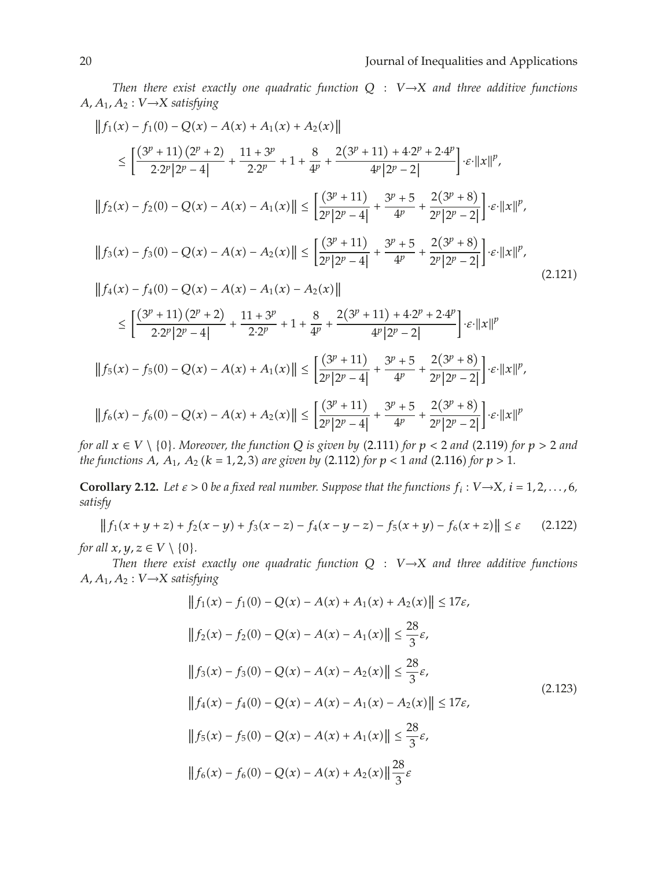*Then there exist exactly one quadratic function Q* : *V* <sup>→</sup>*X and three additive functions*  $A, A_1, A_2 : V \rightarrow X$  *satisfying* 

$$
||f_1(x) - f_1(0) - Q(x) - A(x) + A_1(x) + A_2(x)||
$$
\n
$$
\leq \left[ \frac{(3^p + 11)(2^p + 2)}{2 \cdot 2^p |2^p - 4|} + \frac{11 + 3^p}{2 \cdot 2^p} + 1 + \frac{8}{4^p} + \frac{2(3^p + 11) + 4 \cdot 2^p + 2 \cdot 4^p}{4^p |2^p - 2|} \right] \cdot \varepsilon \cdot ||x||^p,
$$
\n
$$
||f_2(x) - f_2(0) - Q(x) - A(x) - A_1(x)|| \leq \left[ \frac{(3^p + 11)}{2^p |2^p - 4|} + \frac{3^p + 5}{4^p} + \frac{2(3^p + 8)}{2^p |2^p - 2|} \right] \cdot \varepsilon \cdot ||x||^p,
$$
\n
$$
||f_3(x) - f_3(0) - Q(x) - A(x) - A_2(x)|| \leq \left[ \frac{(3^p + 11)}{2^p |2^p - 4|} + \frac{3^p + 5}{4^p} + \frac{2(3^p + 8)}{2^p |2^p - 2|} \right] \cdot \varepsilon \cdot ||x||^p,
$$
\n
$$
||f_4(x) - f_4(0) - Q(x) - A(x) - A_1(x) - A_2(x)||
$$
\n
$$
\leq \left[ \frac{(3^p + 11)(2^p + 2)}{2 \cdot 2^p |2^p - 4|} + \frac{11 + 3^p}{2 \cdot 2^p} + 1 + \frac{8}{4^p} + \frac{2(3^p + 11) + 4 \cdot 2^p + 2 \cdot 4^p}{4^p |2^p - 2|} \right] \cdot \varepsilon \cdot ||x||^p
$$
\n
$$
||f_5(x) - f_5(0) - Q(x) - A(x) + A_1(x)|| \leq \left[ \frac{(3^p + 11)}{2^p |2^p - 4|} + \frac{3^p + 5}{4^p} + \frac{2(3^p + 8)}{2^p |2^p - 2|} \right] \cdot \varepsilon \cdot ||x||^p,
$$
\n
$$
||f_6(x) - f_6(0)
$$

*for all*  $x \in V \setminus \{0\}$ *. Moreover, the function*  $Q$  *is given by*  $(2.111)$  *for*  $p < 2$  *and*  $(2.119)$  *for*  $p > 2$  *and*<br>the functions  $A \cup A \cup (k-1, 2, 3)$  are given by  $(2.112)$  for  $p < 1$  and  $(2.116)$  for  $p > 1$ *the functions A, A*<sub>1</sub>*, A*<sub>2</sub> ( $k = 1, 2, 3$ ) are given by (2.112) for  $p < 1$  and (2.116) for  $p > 1$ .

**Corollary 2.12.** Let  $\varepsilon > 0$  be a fixed real number. Suppose that the functions  $f_i : V \rightarrow X$ ,  $i = 1, 2, ..., 6$ , *satisfy*

$$
||f_1(x+y+z) + f_2(x-y) + f_3(x-z) - f_4(x-y-z) - f_5(x+y) - f_6(x+z)|| \le \varepsilon
$$
 (2.122)

*for all*  $x, y, z \in V \setminus \{0\}$ *.* 

*Then there exist exactly one quadratic function Q* : *V* <sup>→</sup>*X and three additive functions*  $A, A_1, A_2 : V \rightarrow X$  *satisfying* 

$$
||f_1(x) - f_1(0) - Q(x) - A(x) + A_1(x) + A_2(x)|| \le 17\varepsilon,
$$
  
\n
$$
||f_2(x) - f_2(0) - Q(x) - A(x) - A_1(x)|| \le \frac{28}{3}\varepsilon,
$$
  
\n
$$
||f_3(x) - f_3(0) - Q(x) - A(x) - A_2(x)|| \le \frac{28}{3}\varepsilon,
$$
  
\n
$$
||f_4(x) - f_4(0) - Q(x) - A(x) - A_1(x) - A_2(x)|| \le 17\varepsilon,
$$
  
\n
$$
||f_5(x) - f_5(0) - Q(x) - A(x) + A_1(x)|| \le \frac{28}{3}\varepsilon,
$$
  
\n
$$
||f_6(x) - f_6(0) - Q(x) - A(x) + A_2(x)|| \frac{28}{3}\varepsilon
$$
 (2.123)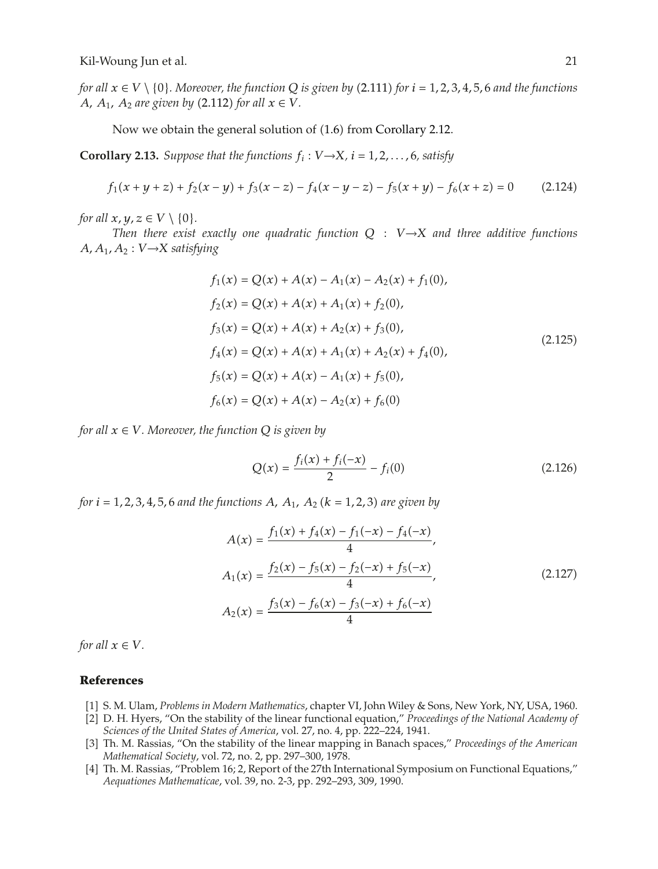*for all*  $x \in V \setminus \{0\}$ . Moreover, the function Q is given by (2.111) for  $i = 1, 2, 3, 4, 5, 6$  and the functions<br>A  $A_1$ ,  $A_2$  are given by (2.112) for all  $x \in V$ *A*,  $A_1$ ,  $A_2$  are given by (2.112) for all  $x \in V$ .

Now we obtain the general solution of (1.6) from Corollary 2.12.

**Corollary 2.13.** *Suppose that the functions*  $f_i$  :  $V \rightarrow X$ *, i* = 1*,* 2*,...,* 6*, satisfy* 

$$
f_1(x + y + z) + f_2(x - y) + f_3(x - z) - f_4(x - y - z) - f_5(x + y) - f_6(x + z) = 0
$$
 (2.124)

*for all*  $x, y, z \in V \setminus \{0\}$ *.* 

*Then there exist exactly one quadratic function Q* : *V* <sup>→</sup>*X and three additive functions*  $A, A_1, A_2 : V \rightarrow X$  *satisfying* 

$$
f_1(x) = Q(x) + A(x) - A_1(x) - A_2(x) + f_1(0),
$$
  
\n
$$
f_2(x) = Q(x) + A(x) + A_1(x) + f_2(0),
$$
  
\n
$$
f_3(x) = Q(x) + A(x) + A_2(x) + f_3(0),
$$
  
\n
$$
f_4(x) = Q(x) + A(x) + A_1(x) + A_2(x) + f_4(0),
$$
  
\n
$$
f_5(x) = Q(x) + A(x) - A_1(x) + f_5(0),
$$
  
\n
$$
f_6(x) = Q(x) + A(x) - A_2(x) + f_6(0)
$$
  
\n(2.125)

*for all*  $x \in V$ *. Moreover, the function*  $Q$  *is given by* 

$$
Q(x) = \frac{f_i(x) + f_i(-x)}{2} - f_i(0)
$$
\n(2.126)

*for*  $i = 1, 2, 3, 4, 5, 6$  *and the functions*  $A$ *,*  $A_1$ *,*  $A_2$  ( $k = 1, 2, 3$ ) are given by

$$
A(x) = \frac{f_1(x) + f_4(x) - f_1(-x) - f_4(-x)}{4},
$$
  
\n
$$
A_1(x) = \frac{f_2(x) - f_5(x) - f_2(-x) + f_5(-x)}{4},
$$
  
\n
$$
A_2(x) = \frac{f_3(x) - f_6(x) - f_3(-x) + f_6(-x)}{4}
$$
\n(2.127)

*for all*  $x \in V$ *.* 

#### **References**

- 1 S. M. Ulam, *Problems in Modern Mathematics*, chapter VI, John Wiley & Sons, New York, NY, USA, 1960.
- 2 D. H. Hyers, "On the stability of the linear functional equation," *Proceedings of the National Academy of Sciences of the United States of America*, vol. 27, no. 4, pp. 222–224, 1941.
- 3 Th. M. Rassias, "On the stability of the linear mapping in Banach spaces," *Proceedings of the American Mathematical Society*, vol. 72, no. 2, pp. 297–300, 1978.
- [4] Th. M. Rassias, "Problem 16; 2, Report of the 27th International Symposium on Functional Equations," *Aequationes Mathematicae*, vol. 39, no. 2-3, pp. 292–293, 309, 1990.